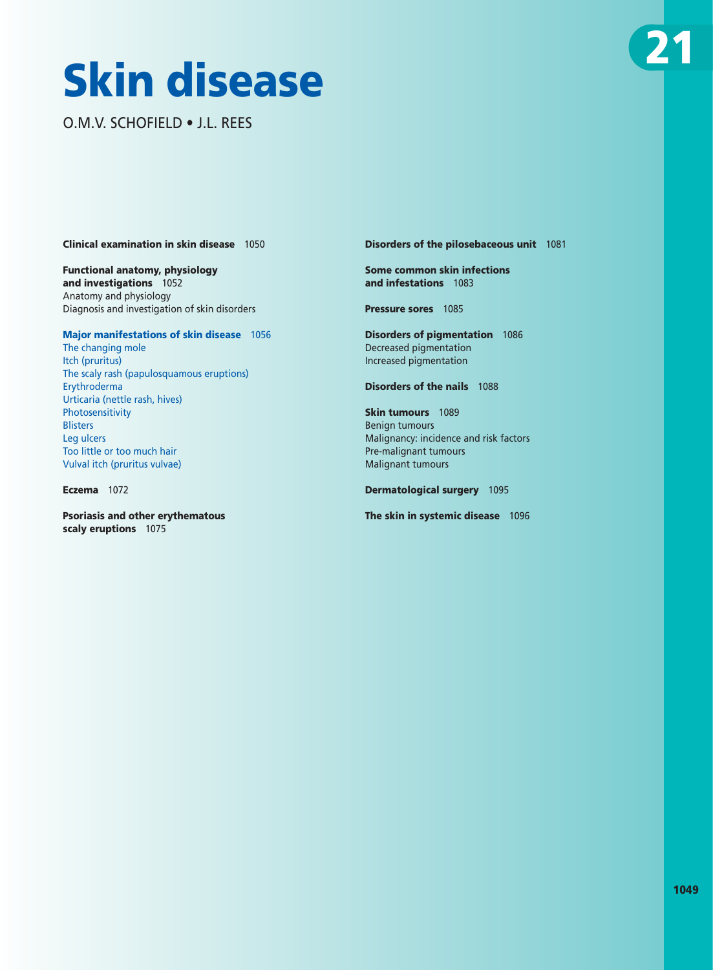# **<sup>21</sup> Skin disease**

O.M.V. SCHOFIELD • LL. REES

#### **Clinical examination in skin disease** 1050

**Functional anatomy, physiology and investigations** 1052 Anatomy and physiology Diagnosis and investigation of skin disorders

## **Major manifestations of skin disease** 1056

The changing mole Itch (pruritus) The scaly rash (papulosquamous eruptions) Erythroderma Urticaria (nettle rash, hives) Photosensitivity **Blisters** Leg ulcers Too little or too much hair Vulval itch (pruritus vulvae)

**Eczema** 1072

**Psoriasis and other erythematous scaly eruptions** 1075

**Disorders of the pilosebaceous unit** 1081

**Some common skin infections and infestations** 1083

**Pressure sores** 1085

**Disorders of pigmentation** 1086 Decreased pigmentation Increased pigmentation

**Disorders of the nails** 1088

**Skin tumours** 1089 Benign tumours Malignancy: incidence and risk factors Pre-malignant tumours Malignant tumours

**Dermatological surgery** 1095

**The skin in systemic disease** 1096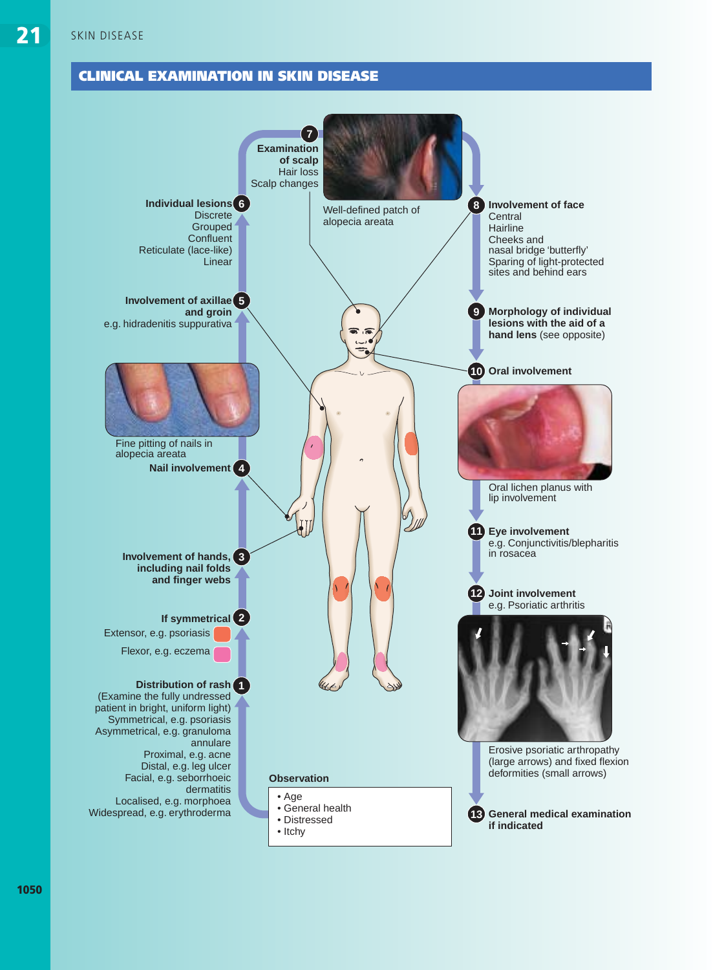# **CLINICAL EXAMINATION IN SKIN DISEASE**

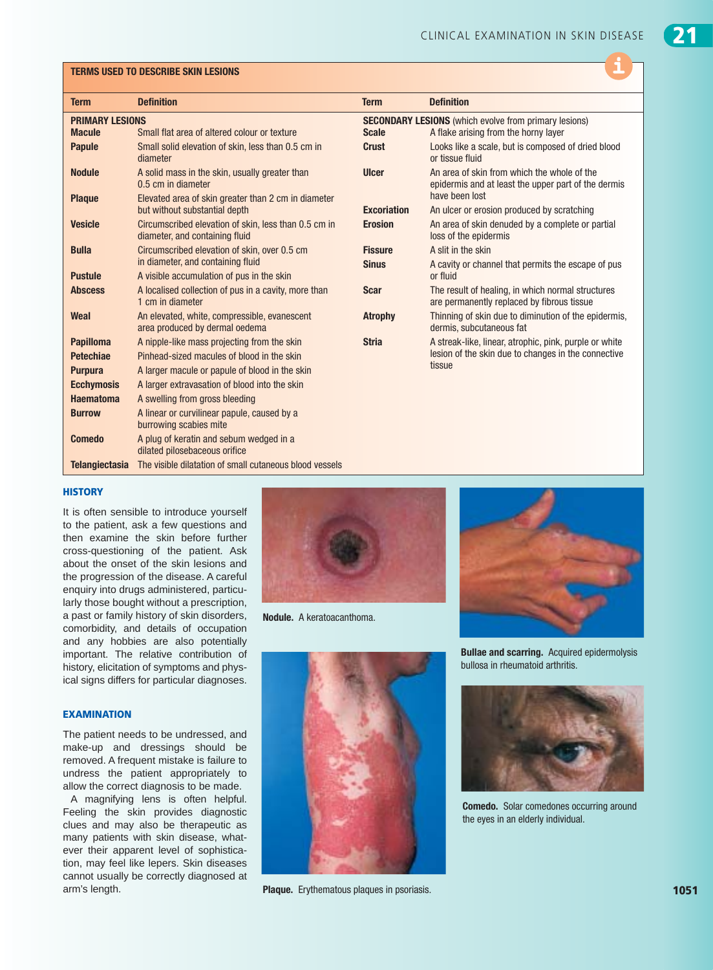#### **TERMS USED TO DESCRIBE SKIN LESIONS**

| <b>Term</b>                                                                                                                       | <b>Definition</b>                                                                                                                                                                                                                                                                                                                                                                   | <b>Term</b>                          | <b>Definition</b>                                                                                                                                          |
|-----------------------------------------------------------------------------------------------------------------------------------|-------------------------------------------------------------------------------------------------------------------------------------------------------------------------------------------------------------------------------------------------------------------------------------------------------------------------------------------------------------------------------------|--------------------------------------|------------------------------------------------------------------------------------------------------------------------------------------------------------|
| <b>PRIMARY LESIONS</b><br><b>Macule</b><br><b>Papule</b>                                                                          | Small flat area of altered colour or texture<br>Small solid elevation of skin, less than 0.5 cm in                                                                                                                                                                                                                                                                                  | <b>Scale</b><br><b>Crust</b>         | <b>SECONDARY LESIONS</b> (which evolve from primary lesions)<br>A flake arising from the horny layer<br>Looks like a scale, but is composed of dried blood |
| <b>Nodule</b>                                                                                                                     | diameter<br>A solid mass in the skin, usually greater than<br>0.5 cm in diameter                                                                                                                                                                                                                                                                                                    | <b>Ulcer</b>                         | or tissue fluid<br>An area of skin from which the whole of the<br>epidermis and at least the upper part of the dermis<br>have been lost                    |
| <b>Plaque</b><br><b>Vesicle</b>                                                                                                   | Elevated area of skin greater than 2 cm in diameter<br>but without substantial depth<br>Circumscribed elevation of skin, less than 0.5 cm in<br>diameter, and containing fluid                                                                                                                                                                                                      | <b>Excoriation</b><br><b>Erosion</b> | An ulcer or erosion produced by scratching<br>An area of skin denuded by a complete or partial<br>loss of the epidermis                                    |
| <b>Bulla</b>                                                                                                                      | Circumscribed elevation of skin, over 0.5 cm<br>in diameter, and containing fluid                                                                                                                                                                                                                                                                                                   | <b>Fissure</b><br><b>Sinus</b>       | A slit in the skin<br>A cavity or channel that permits the escape of pus                                                                                   |
| <b>Pustule</b><br><b>Abscess</b>                                                                                                  | A visible accumulation of pus in the skin<br>A localised collection of pus in a cavity, more than<br>1 cm in diameter                                                                                                                                                                                                                                                               | <b>Scar</b>                          | or fluid<br>The result of healing, in which normal structures<br>are permanently replaced by fibrous tissue                                                |
| Weal                                                                                                                              | An elevated, white, compressible, evanescent<br>area produced by dermal oedema                                                                                                                                                                                                                                                                                                      | <b>Atrophy</b>                       | Thinning of skin due to diminution of the epidermis,<br>dermis, subcutaneous fat                                                                           |
| <b>Papilloma</b><br><b>Petechiae</b><br><b>Purpura</b><br><b>Ecchymosis</b><br><b>Haematoma</b><br><b>Burrow</b><br><b>Comedo</b> | A nipple-like mass projecting from the skin<br>Pinhead-sized macules of blood in the skin<br>A larger macule or papule of blood in the skin<br>A larger extravasation of blood into the skin<br>A swelling from gross bleeding<br>A linear or curvilinear papule, caused by a<br>burrowing scabies mite<br>A plug of keratin and sebum wedged in a<br>dilated pilosebaceous orifice | <b>Stria</b>                         | A streak-like, linear, atrophic, pink, purple or white<br>lesion of the skin due to changes in the connective<br>tissue                                    |
| <b>Telangiectasia</b>                                                                                                             | The visible dilatation of small cutaneous blood vessels                                                                                                                                                                                                                                                                                                                             |                                      |                                                                                                                                                            |

#### **HISTORY**

It is often sensible to introduce yourself to the patient, ask a few questions and then examine the skin before further cross-questioning of the patient. Ask about the onset of the skin lesions and the progression of the disease. A careful enquiry into drugs administered, particularly those bought without a prescription, a past or family history of skin disorders, comorbidity, and details of occupation and any hobbies are also potentially important. The relative contribution of history, elicitation of symptoms and physical signs differs for particular diagnoses.

#### **EXAMINATION**

The patient needs to be undressed, and make-up and dressings should be removed. A frequent mistake is failure to undress the patient appropriately to allow the correct diagnosis to be made.

A magnifying lens is often helpful. Feeling the skin provides diagnostic clues and may also be therapeutic as many patients with skin disease, whatever their apparent level of sophistication, may feel like lepers. Skin diseases cannot usually be correctly diagnosed at arm's length.



**Nodule.** A keratoacanthoma.



**Plaque.** Erythematous plaques in psoriasis.



**Bullae and scarring.** Acquired epidermolysis bullosa in rheumatoid arthritis.



**Comedo.** Solar comedones occurring around the eyes in an elderly individual.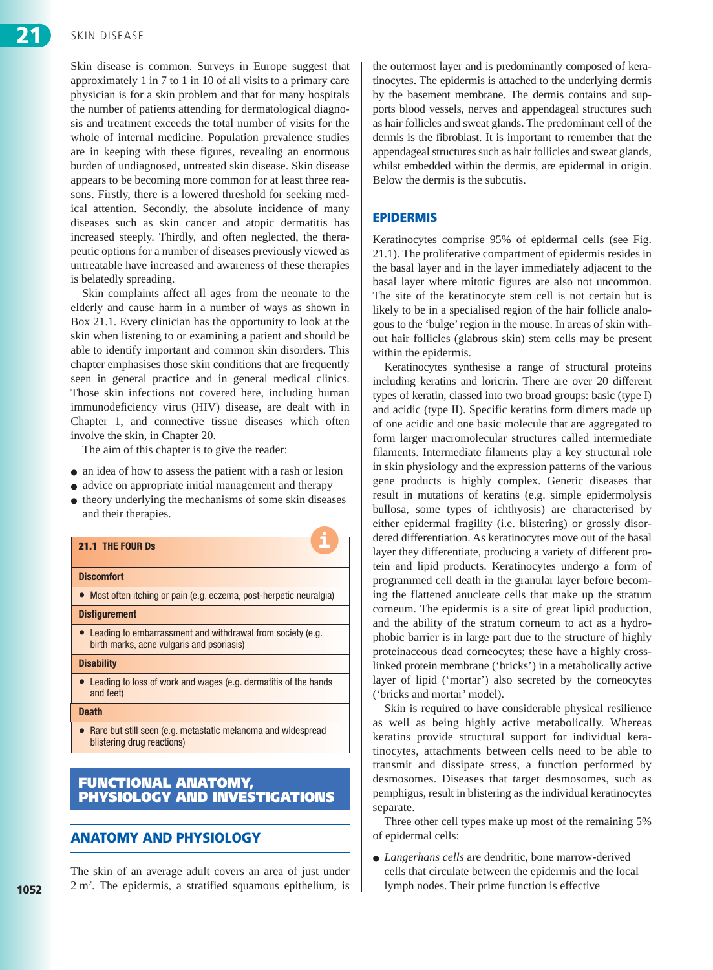Skin disease is common. Surveys in Europe suggest that approximately 1 in 7 to 1 in 10 of all visits to a primary care physician is for a skin problem and that for many hospitals the number of patients attending for dermatological diagnosis and treatment exceeds the total number of visits for the whole of internal medicine. Population prevalence studies are in keeping with these figures, revealing an enormous burden of undiagnosed, untreated skin disease. Skin disease appears to be becoming more common for at least three reasons. Firstly, there is a lowered threshold for seeking medical attention. Secondly, the absolute incidence of many diseases such as skin cancer and atopic dermatitis has increased steeply. Thirdly, and often neglected, the therapeutic options for a number of diseases previously viewed as untreatable have increased and awareness of these therapies is belatedly spreading.

Skin complaints affect all ages from the neonate to the elderly and cause harm in a number of ways as shown in Box 21.1. Every clinician has the opportunity to look at the skin when listening to or examining a patient and should be able to identify important and common skin disorders. This chapter emphasises those skin conditions that are frequently seen in general practice and in general medical clinics. Those skin infections not covered here, including human immunodeficiency virus (HIV) disease, are dealt with in Chapter 1, and connective tissue diseases which often involve the skin, in Chapter 20.

The aim of this chapter is to give the reader:

- an idea of how to assess the patient with a rash or lesion
- advice on appropriate initial management and therapy
- theory underlying the mechanisms of some skin diseases and their therapies.

#### **21.1 THE FOUR Ds**

#### **Discomfort**

• Most often itching or pain (e.g. eczema, post-herpetic neuralgia)

#### **Disfigurement**

• Leading to embarrassment and withdrawal from society (e.g. birth marks, acne vulgaris and psoriasis)

#### **Disability**

• Leading to loss of work and wages (e.g. dermatitis of the hands and feet)

#### **Death**

• Rare but still seen (e.g. metastatic melanoma and widespread blistering drug reactions)

# **FUNCTIONAL ANATOMY, PHYSIOLOGY AND INVESTIGATIONS**

# **ANATOMY AND PHYSIOLOGY**

The skin of an average adult covers an area of just under 2 m2 . The epidermis, a stratified squamous epithelium, is the outermost layer and is predominantly composed of keratinocytes. The epidermis is attached to the underlying dermis by the basement membrane. The dermis contains and supports blood vessels, nerves and appendageal structures such as hair follicles and sweat glands. The predominant cell of the dermis is the fibroblast. It is important to remember that the appendageal structures such as hair follicles and sweat glands, whilst embedded within the dermis, are epidermal in origin. Below the dermis is the subcutis.

## **EPIDERMIS**

Keratinocytes comprise 95% of epidermal cells (see Fig. 21.1). The proliferative compartment of epidermis resides in the basal layer and in the layer immediately adjacent to the basal layer where mitotic figures are also not uncommon. The site of the keratinocyte stem cell is not certain but is likely to be in a specialised region of the hair follicle analogous to the 'bulge' region in the mouse. In areas of skin without hair follicles (glabrous skin) stem cells may be present within the epidermis.

Keratinocytes synthesise a range of structural proteins including keratins and loricrin. There are over 20 different types of keratin, classed into two broad groups: basic (type I) and acidic (type II). Specific keratins form dimers made up of one acidic and one basic molecule that are aggregated to form larger macromolecular structures called intermediate filaments. Intermediate filaments play a key structural role in skin physiology and the expression patterns of the various gene products is highly complex. Genetic diseases that result in mutations of keratins (e.g. simple epidermolysis bullosa, some types of ichthyosis) are characterised by either epidermal fragility (i.e. blistering) or grossly disordered differentiation. As keratinocytes move out of the basal layer they differentiate, producing a variety of different protein and lipid products. Keratinocytes undergo a form of programmed cell death in the granular layer before becoming the flattened anucleate cells that make up the stratum corneum. The epidermis is a site of great lipid production, and the ability of the stratum corneum to act as a hydrophobic barrier is in large part due to the structure of highly proteinaceous dead corneocytes; these have a highly crosslinked protein membrane ('bricks') in a metabolically active layer of lipid ('mortar') also secreted by the corneocytes ('bricks and mortar' model).

Skin is required to have considerable physical resilience as well as being highly active metabolically. Whereas keratins provide structural support for individual keratinocytes, attachments between cells need to be able to transmit and dissipate stress, a function performed by desmosomes. Diseases that target desmosomes, such as pemphigus, result in blistering as the individual keratinocytes separate.

Three other cell types make up most of the remaining 5% of epidermal cells:

● *Langerhans cells* are dendritic, bone marrow-derived cells that circulate between the epidermis and the local lymph nodes. Their prime function is effective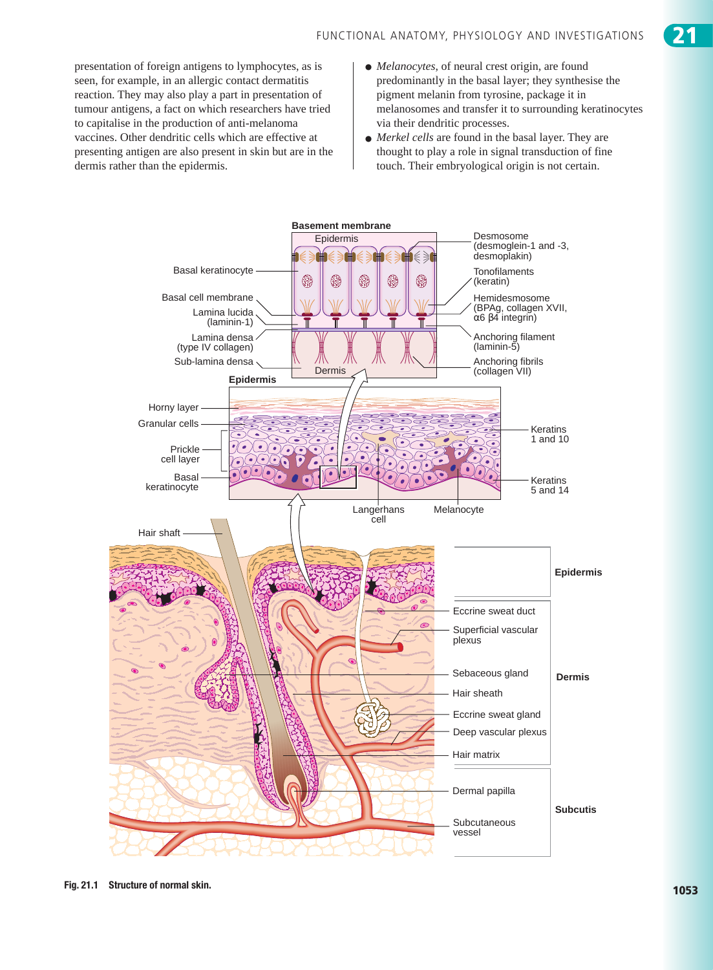presentation of foreign antigens to lymphocytes, as is seen, for example, in an allergic contact dermatitis reaction. They may also play a part in presentation of tumour antigens, a fact on which researchers have tried to capitalise in the production of anti-melanoma vaccines. Other dendritic cells which are effective at presenting antigen are also present in skin but are in the dermis rather than the epidermis.

- *Melanocytes*, of neural crest origin, are found predominantly in the basal layer; they synthesise the pigment melanin from tyrosine, package it in melanosomes and transfer it to surrounding keratinocytes via their dendritic processes.
- *Merkel cells* are found in the basal layer. They are thought to play a role in signal transduction of fine touch. Their embryological origin is not certain.

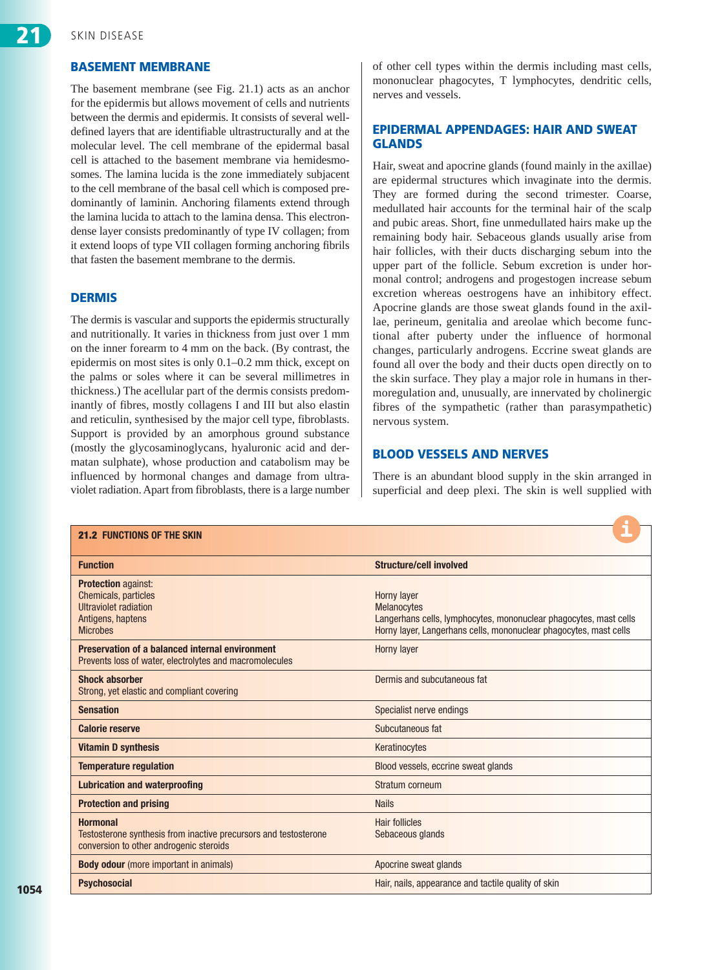The basement membrane (see Fig. 21.1) acts as an anchor for the epidermis but allows movement of cells and nutrients between the dermis and epidermis. It consists of several welldefined layers that are identifiable ultrastructurally and at the molecular level. The cell membrane of the epidermal basal cell is attached to the basement membrane via hemidesmosomes. The lamina lucida is the zone immediately subjacent to the cell membrane of the basal cell which is composed predominantly of laminin. Anchoring filaments extend through the lamina lucida to attach to the lamina densa. This electrondense layer consists predominantly of type IV collagen; from it extend loops of type VII collagen forming anchoring fibrils that fasten the basement membrane to the dermis.

#### **DERMIS**

The dermis is vascular and supports the epidermis structurally and nutritionally. It varies in thickness from just over 1 mm on the inner forearm to 4 mm on the back. (By contrast, the epidermis on most sites is only 0.1–0.2 mm thick, except on the palms or soles where it can be several millimetres in thickness.) The acellular part of the dermis consists predominantly of fibres, mostly collagens I and III but also elastin and reticulin, synthesised by the major cell type, fibroblasts. Support is provided by an amorphous ground substance (mostly the glycosaminoglycans, hyaluronic acid and dermatan sulphate), whose production and catabolism may be influenced by hormonal changes and damage from ultraviolet radiation. Apart from fibroblasts, there is a large number of other cell types within the dermis including mast cells, mononuclear phagocytes, T lymphocytes, dendritic cells, nerves and vessels.

# **EPIDERMAL APPENDAGES: HAIR AND SWEAT GLANDS**

Hair, sweat and apocrine glands (found mainly in the axillae) are epidermal structures which invaginate into the dermis. They are formed during the second trimester. Coarse, medullated hair accounts for the terminal hair of the scalp and pubic areas. Short, fine unmedullated hairs make up the remaining body hair. Sebaceous glands usually arise from hair follicles, with their ducts discharging sebum into the upper part of the follicle. Sebum excretion is under hormonal control; androgens and progestogen increase sebum excretion whereas oestrogens have an inhibitory effect. Apocrine glands are those sweat glands found in the axillae, perineum, genitalia and areolae which become functional after puberty under the influence of hormonal changes, particularly androgens. Eccrine sweat glands are found all over the body and their ducts open directly on to the skin surface. They play a major role in humans in thermoregulation and, unusually, are innervated by cholinergic fibres of the sympathetic (rather than parasympathetic) nervous system.

## **BLOOD VESSELS AND NERVES**

There is an abundant blood supply in the skin arranged in superficial and deep plexi. The skin is well supplied with

A

| <b>21.2 FUNCTIONS OF THE SKIN</b>                                                                                              |                                                                                                                                                                             |
|--------------------------------------------------------------------------------------------------------------------------------|-----------------------------------------------------------------------------------------------------------------------------------------------------------------------------|
| <b>Function</b>                                                                                                                | Structure/cell involved                                                                                                                                                     |
| <b>Protection against:</b><br>Chemicals, particles<br><b>Ultraviolet radiation</b><br>Antigens, haptens<br><b>Microbes</b>     | Horny layer<br><b>Melanocytes</b><br>Langerhans cells, lymphocytes, mononuclear phagocytes, mast cells<br>Horny layer, Langerhans cells, mononuclear phagocytes, mast cells |
| Preservation of a balanced internal environment<br>Prevents loss of water, electrolytes and macromolecules                     | Horny layer                                                                                                                                                                 |
| <b>Shock absorber</b><br>Strong, yet elastic and compliant covering                                                            | Dermis and subcutaneous fat                                                                                                                                                 |
| <b>Sensation</b>                                                                                                               | Specialist nerve endings                                                                                                                                                    |
| <b>Calorie reserve</b>                                                                                                         | Subcutaneous fat                                                                                                                                                            |
| <b>Vitamin D synthesis</b>                                                                                                     | Keratinocytes                                                                                                                                                               |
| <b>Temperature regulation</b>                                                                                                  | Blood vessels, eccrine sweat glands                                                                                                                                         |
| <b>Lubrication and waterproofing</b>                                                                                           | <b>Stratum corneum</b>                                                                                                                                                      |
| <b>Protection and prising</b>                                                                                                  | <b>Nails</b>                                                                                                                                                                |
| <b>Hormonal</b><br>Testosterone synthesis from inactive precursors and testosterone<br>conversion to other androgenic steroids | <b>Hair follicles</b><br>Sebaceous glands                                                                                                                                   |
| <b>Body odour</b> (more important in animals)                                                                                  | Apocrine sweat glands                                                                                                                                                       |
| <b>Psychosocial</b>                                                                                                            | Hair, nails, appearance and tactile quality of skin                                                                                                                         |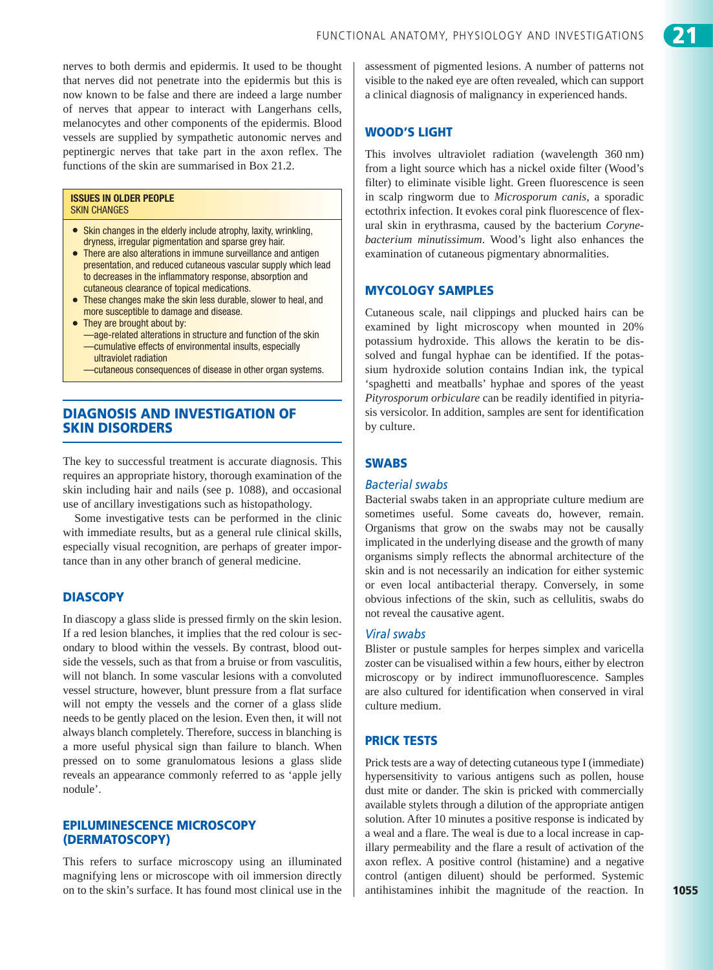nerves to both dermis and epidermis. It used to be thought that nerves did not penetrate into the epidermis but this is now known to be false and there are indeed a large number of nerves that appear to interact with Langerhans cells, melanocytes and other components of the epidermis. Blood vessels are supplied by sympathetic autonomic nerves and peptinergic nerves that take part in the axon reflex. The functions of the skin are summarised in Box 21.2.

#### **ISSUES IN OLDER PEOPLE** *CKIN CHANGES*

- Skin changes in the elderly include atrophy, laxity, wrinkling, dryness, irregular pigmentation and sparse grey hair.
- There are also alterations in immune surveillance and antigen presentation, and reduced cutaneous vascular supply which lead to decreases in the inflammatory response, absorption and cutaneous clearance of topical medications.
- These changes make the skin less durable, slower to heal, and more susceptible to damage and disease.
- They are brought about by:
	- —age-related alterations in structure and function of the skin —cumulative effects of environmental insults, especially ultraviolet radiation
	- —cutaneous consequences of disease in other organ systems.

# **DIAGNOSIS AND INVESTIGATION OF SKIN DISORDERS**

The key to successful treatment is accurate diagnosis. This requires an appropriate history, thorough examination of the skin including hair and nails (see p. 1088), and occasional use of ancillary investigations such as histopathology.

Some investigative tests can be performed in the clinic with immediate results, but as a general rule clinical skills, especially visual recognition, are perhaps of greater importance than in any other branch of general medicine.

## **DIASCOPY**

In diascopy a glass slide is pressed firmly on the skin lesion. If a red lesion blanches, it implies that the red colour is secondary to blood within the vessels. By contrast, blood outside the vessels, such as that from a bruise or from vasculitis, will not blanch. In some vascular lesions with a convoluted vessel structure, however, blunt pressure from a flat surface will not empty the vessels and the corner of a glass slide needs to be gently placed on the lesion. Even then, it will not always blanch completely. Therefore, success in blanching is a more useful physical sign than failure to blanch. When pressed on to some granulomatous lesions a glass slide reveals an appearance commonly referred to as 'apple jelly nodule'.

## **EPILUMINESCENCE MICROSCOPY (DERMATOSCOPY)**

This refers to surface microscopy using an illuminated magnifying lens or microscope with oil immersion directly on to the skin's surface. It has found most clinical use in the

assessment of pigmented lesions. A number of patterns not visible to the naked eye are often revealed, which can support a clinical diagnosis of malignancy in experienced hands.

## **WOOD'S LIGHT**

This involves ultraviolet radiation (wavelength 360 nm) from a light source which has a nickel oxide filter (Wood's filter) to eliminate visible light. Green fluorescence is seen in scalp ringworm due to *Microsporum canis*, a sporadic ectothrix infection. It evokes coral pink fluorescence of flexural skin in erythrasma, caused by the bacterium *Corynebacterium minutissimum*. Wood's light also enhances the examination of cutaneous pigmentary abnormalities.

# **MYCOLOGY SAMPLES**

Cutaneous scale, nail clippings and plucked hairs can be examined by light microscopy when mounted in 20% potassium hydroxide. This allows the keratin to be dissolved and fungal hyphae can be identified. If the potassium hydroxide solution contains Indian ink, the typical 'spaghetti and meatballs' hyphae and spores of the yeast *Pityrosporum orbiculare* can be readily identified in pityriasis versicolor. In addition, samples are sent for identification by culture.

## **SWABS**

#### *Bacterial swabs*

Bacterial swabs taken in an appropriate culture medium are sometimes useful. Some caveats do, however, remain. Organisms that grow on the swabs may not be causally implicated in the underlying disease and the growth of many organisms simply reflects the abnormal architecture of the skin and is not necessarily an indication for either systemic or even local antibacterial therapy. Conversely, in some obvious infections of the skin, such as cellulitis, swabs do not reveal the causative agent.

#### *Viral swabs*

Blister or pustule samples for herpes simplex and varicella zoster can be visualised within a few hours, either by electron microscopy or by indirect immunofluorescence. Samples are also cultured for identification when conserved in viral culture medium.

# **PRICK TESTS**

Prick tests are a way of detecting cutaneous type I (immediate) hypersensitivity to various antigens such as pollen, house dust mite or dander. The skin is pricked with commercially available stylets through a dilution of the appropriate antigen solution. After 10 minutes a positive response is indicated by a weal and a flare. The weal is due to a local increase in capillary permeability and the flare a result of activation of the axon reflex. A positive control (histamine) and a negative control (antigen diluent) should be performed. Systemic antihistamines inhibit the magnitude of the reaction. In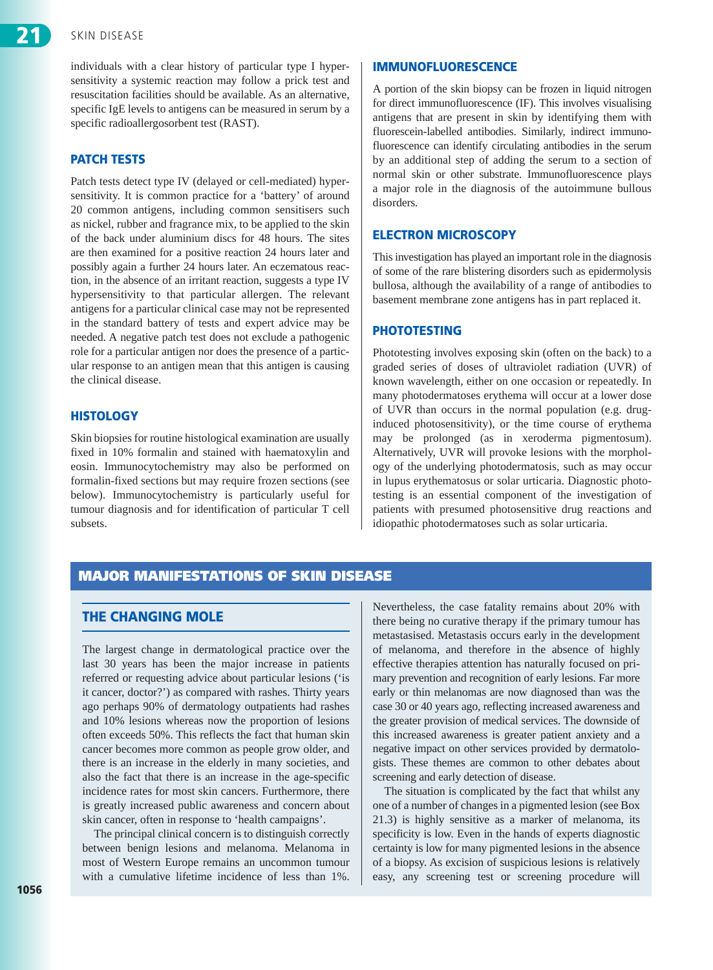# SKIN DISEASE

individuals with a clear history of particular type I hypersensitivity a systemic reaction may follow a prick test and resuscitation facilities should be available. As an alternative, specific IgE levels to antigens can be measured in serum by a specific radioallergosorbent test (RAST).

## **PATCH TESTS**

Patch tests detect type IV (delayed or cell-mediated) hypersensitivity. It is common practice for a 'battery' of around 20 common antigens, including common sensitisers such as nickel, rubber and fragrance mix, to be applied to the skin of the back under aluminium discs for 48 hours. The sites are then examined for a positive reaction 24 hours later and possibly again a further 24 hours later. An eczematous reaction, in the absence of an irritant reaction, suggests a type IV hypersensitivity to that particular allergen. The relevant antigens for a particular clinical case may not be represented in the standard battery of tests and expert advice may be needed. A negative patch test does not exclude a pathogenic role for a particular antigen nor does the presence of a particular response to an antigen mean that this antigen is causing the clinical disease.

## **HISTOLOGY**

Skin biopsies for routine histological examination are usually fixed in 10% formalin and stained with haematoxylin and eosin. Immunocytochemistry may also be performed on formalin-fixed sections but may require frozen sections (see below). Immunocytochemistry is particularly useful for tumour diagnosis and for identification of particular T cell subsets.

#### **IMMUNOFLUORESCENCE**

A portion of the skin biopsy can be frozen in liquid nitrogen for direct immunofluorescence (IF). This involves visualising antigens that are present in skin by identifying them with fluorescein-labelled antibodies. Similarly, indirect immunofluorescence can identify circulating antibodies in the serum by an additional step of adding the serum to a section of normal skin or other substrate. Immunofluorescence plays a major role in the diagnosis of the autoimmune bullous disorders.

## **ELECTRON MICROSCOPY**

This investigation has played an important role in the diagnosis of some of the rare blistering disorders such as epidermolysis bullosa, although the availability of a range of antibodies to basement membrane zone antigens has in part replaced it.

## **PHOTOTESTING**

Phototesting involves exposing skin (often on the back) to a graded series of doses of ultraviolet radiation (UVR) of known wavelength, either on one occasion or repeatedly. In many photodermatoses erythema will occur at a lower dose of UVR than occurs in the normal population (e.g. druginduced photosensitivity), or the time course of erythema may be prolonged (as in xeroderma pigmentosum). Alternatively, UVR will provoke lesions with the morphology of the underlying photodermatosis, such as may occur in lupus erythematosus or solar urticaria. Diagnostic phototesting is an essential component of the investigation of patients with presumed photosensitive drug reactions and idiopathic photodermatoses such as solar urticaria.

# **MAJOR MANIFESTATIONS OF SKIN DISEASE**

## **THE CHANGING MOLE**

The largest change in dermatological practice over the last 30 years has been the major increase in patients referred or requesting advice about particular lesions ('is it cancer, doctor?') as compared with rashes. Thirty years ago perhaps 90% of dermatology outpatients had rashes and 10% lesions whereas now the proportion of lesions often exceeds 50%. This reflects the fact that human skin cancer becomes more common as people grow older, and there is an increase in the elderly in many societies, and also the fact that there is an increase in the age-specific incidence rates for most skin cancers. Furthermore, there is greatly increased public awareness and concern about skin cancer, often in response to 'health campaigns'.

The principal clinical concern is to distinguish correctly between benign lesions and melanoma. Melanoma in most of Western Europe remains an uncommon tumour with a cumulative lifetime incidence of less than 1%. Nevertheless, the case fatality remains about 20% with there being no curative therapy if the primary tumour has metastasised. Metastasis occurs early in the development of melanoma, and therefore in the absence of highly effective therapies attention has naturally focused on primary prevention and recognition of early lesions. Far more early or thin melanomas are now diagnosed than was the case 30 or 40 years ago, reflecting increased awareness and the greater provision of medical services. The downside of this increased awareness is greater patient anxiety and a negative impact on other services provided by dermatologists. These themes are common to other debates about screening and early detection of disease.

The situation is complicated by the fact that whilst any one of a number of changes in a pigmented lesion (see Box 21.3) is highly sensitive as a marker of melanoma, its specificity is low. Even in the hands of experts diagnostic certainty is low for many pigmented lesions in the absence of a biopsy. As excision of suspicious lesions is relatively easy, any screening test or screening procedure will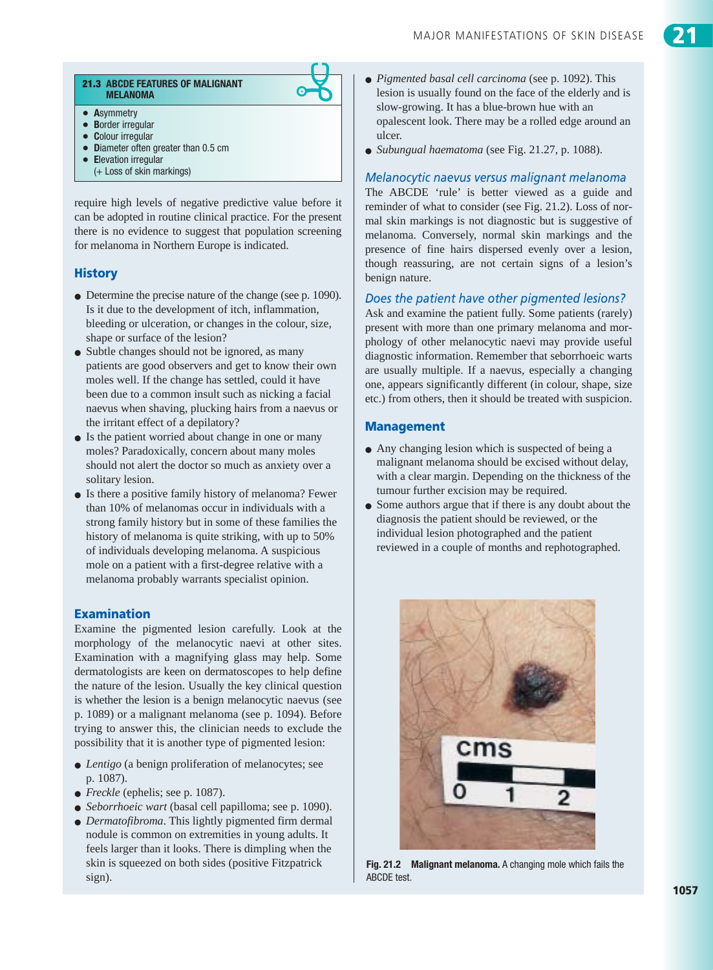#### **21.3 ABCDE FEATURES OF MALIGNANT MELANOMA**

- **A**symmetry
- **B**order irregular
- **C**olour irregular
- **D**iameter often greater than 0.5 cm
- **E**levation irregular
- (+ Loss of skin markings)

require high levels of negative predictive value before it can be adopted in routine clinical practice. For the present there is no evidence to suggest that population screening for melanoma in Northern Europe is indicated.

### **History**

- Determine the precise nature of the change (see p. 1090). Is it due to the development of itch, inflammation, bleeding or ulceration, or changes in the colour, size, shape or surface of the lesion?
- Subtle changes should not be ignored, as many patients are good observers and get to know their own moles well. If the change has settled, could it have been due to a common insult such as nicking a facial naevus when shaving, plucking hairs from a naevus or the irritant effect of a depilatory?
- Is the patient worried about change in one or many moles? Paradoxically, concern about many moles should not alert the doctor so much as anxiety over a solitary lesion.
- Is there a positive family history of melanoma? Fewer than 10% of melanomas occur in individuals with a strong family history but in some of these families the history of melanoma is quite striking, with up to 50% of individuals developing melanoma. A suspicious mole on a patient with a first-degree relative with a melanoma probably warrants specialist opinion.

# **Examination**

Examine the pigmented lesion carefully. Look at the morphology of the melanocytic naevi at other sites. Examination with a magnifying glass may help. Some dermatologists are keen on dermatoscopes to help define the nature of the lesion. Usually the key clinical question is whether the lesion is a benign melanocytic naevus (see p. 1089) or a malignant melanoma (see p. 1094). Before trying to answer this, the clinician needs to exclude the possibility that it is another type of pigmented lesion:

- *Lentigo* (a benign proliferation of melanocytes; see p. 1087).
- *Freckle* (ephelis; see p. 1087).
- *Seborrhoeic wart* (basal cell papilloma; see p. 1090).
- *Dermatofibroma*. This lightly pigmented firm dermal nodule is common on extremities in young adults. It feels larger than it looks. There is dimpling when the skin is squeezed on both sides (positive Fitzpatrick sign).
- *Pigmented basal cell carcinoma* (see p. 1092). This lesion is usually found on the face of the elderly and is slow-growing. It has a blue-brown hue with an opalescent look. There may be a rolled edge around an ulcer.
- *Subungual haematoma* (see Fig. 21.27, p. 1088).

#### *Melanocytic naevus versus malignant melanoma*

The ABCDE 'rule' is better viewed as a guide and reminder of what to consider (see Fig. 21.2). Loss of normal skin markings is not diagnostic but is suggestive of melanoma. Conversely, normal skin markings and the presence of fine hairs dispersed evenly over a lesion, though reassuring, are not certain signs of a lesion's benign nature.

### *Does the patient have other pigmented lesions?*

Ask and examine the patient fully. Some patients (rarely) present with more than one primary melanoma and morphology of other melanocytic naevi may provide useful diagnostic information. Remember that seborrhoeic warts are usually multiple. If a naevus, especially a changing one, appears significantly different (in colour, shape, size etc.) from others, then it should be treated with suspicion.

#### **Management**

- Any changing lesion which is suspected of being a malignant melanoma should be excised without delay, with a clear margin. Depending on the thickness of the tumour further excision may be required.
- Some authors argue that if there is any doubt about the diagnosis the patient should be reviewed, or the individual lesion photographed and the patient reviewed in a couple of months and rephotographed.



**Fig. 21.2 Malignant melanoma.** A changing mole which fails the ABCDE test.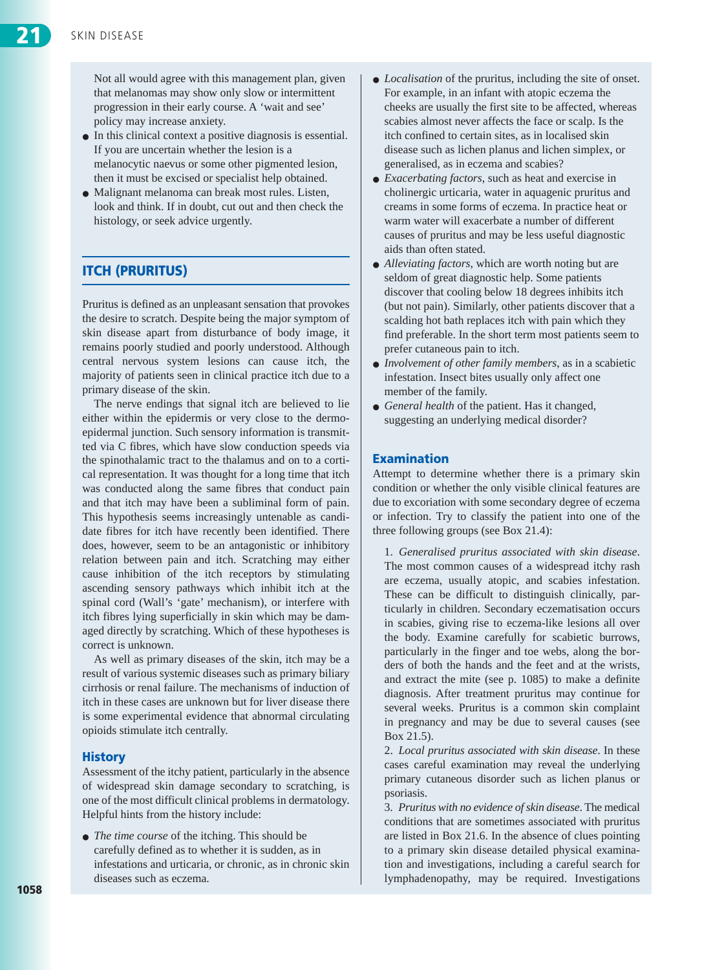Not all would agree with this management plan, given that melanomas may show only slow or intermittent progression in their early course. A 'wait and see' policy may increase anxiety.

- In this clinical context a positive diagnosis is essential. If you are uncertain whether the lesion is a melanocytic naevus or some other pigmented lesion, then it must be excised or specialist help obtained.
- Malignant melanoma can break most rules. Listen, look and think. If in doubt, cut out and then check the histology, or seek advice urgently.

# **ITCH (PRURITUS)**

Pruritus is defined as an unpleasant sensation that provokes the desire to scratch. Despite being the major symptom of skin disease apart from disturbance of body image, it remains poorly studied and poorly understood. Although central nervous system lesions can cause itch, the majority of patients seen in clinical practice itch due to a primary disease of the skin.

The nerve endings that signal itch are believed to lie either within the epidermis or very close to the dermoepidermal junction. Such sensory information is transmitted via C fibres, which have slow conduction speeds via the spinothalamic tract to the thalamus and on to a cortical representation. It was thought for a long time that itch was conducted along the same fibres that conduct pain and that itch may have been a subliminal form of pain. This hypothesis seems increasingly untenable as candidate fibres for itch have recently been identified. There does, however, seem to be an antagonistic or inhibitory relation between pain and itch. Scratching may either cause inhibition of the itch receptors by stimulating ascending sensory pathways which inhibit itch at the spinal cord (Wall's 'gate' mechanism), or interfere with itch fibres lying superficially in skin which may be damaged directly by scratching. Which of these hypotheses is correct is unknown.

As well as primary diseases of the skin, itch may be a result of various systemic diseases such as primary biliary cirrhosis or renal failure. The mechanisms of induction of itch in these cases are unknown but for liver disease there is some experimental evidence that abnormal circulating opioids stimulate itch centrally.

### **History**

Assessment of the itchy patient, particularly in the absence of widespread skin damage secondary to scratching, is one of the most difficult clinical problems in dermatology. Helpful hints from the history include:

● *The time course* of the itching. This should be carefully defined as to whether it is sudden, as in infestations and urticaria, or chronic, as in chronic skin diseases such as eczema.

- *Localisation* of the pruritus, including the site of onset. For example, in an infant with atopic eczema the cheeks are usually the first site to be affected, whereas scabies almost never affects the face or scalp. Is the itch confined to certain sites, as in localised skin disease such as lichen planus and lichen simplex, or generalised, as in eczema and scabies?
- *Exacerbating factors*, such as heat and exercise in cholinergic urticaria, water in aquagenic pruritus and creams in some forms of eczema. In practice heat or warm water will exacerbate a number of different causes of pruritus and may be less useful diagnostic aids than often stated.
- *Alleviating factors*, which are worth noting but are seldom of great diagnostic help. Some patients discover that cooling below 18 degrees inhibits itch (but not pain). Similarly, other patients discover that a scalding hot bath replaces itch with pain which they find preferable. In the short term most patients seem to prefer cutaneous pain to itch.
- *Involvement of other family members*, as in a scabietic infestation. Insect bites usually only affect one member of the family.
- *General health* of the patient. Has it changed, suggesting an underlying medical disorder?

# **Examination**

Attempt to determine whether there is a primary skin condition or whether the only visible clinical features are due to excoriation with some secondary degree of eczema or infection. Try to classify the patient into one of the three following groups (see Box 21.4):

1. *Generalised pruritus associated with skin disease*. The most common causes of a widespread itchy rash are eczema, usually atopic, and scabies infestation. These can be difficult to distinguish clinically, particularly in children. Secondary eczematisation occurs in scabies, giving rise to eczema-like lesions all over the body. Examine carefully for scabietic burrows, particularly in the finger and toe webs, along the borders of both the hands and the feet and at the wrists, and extract the mite (see p. 1085) to make a definite diagnosis. After treatment pruritus may continue for several weeks. Pruritus is a common skin complaint in pregnancy and may be due to several causes (see Box 21.5).

2. *Local pruritus associated with skin disease*. In these cases careful examination may reveal the underlying primary cutaneous disorder such as lichen planus or psoriasis.

3. *Pruritus with no evidence of skin disease*. The medical conditions that are sometimes associated with pruritus are listed in Box 21.6. In the absence of clues pointing to a primary skin disease detailed physical examination and investigations, including a careful search for lymphadenopathy, may be required. Investigations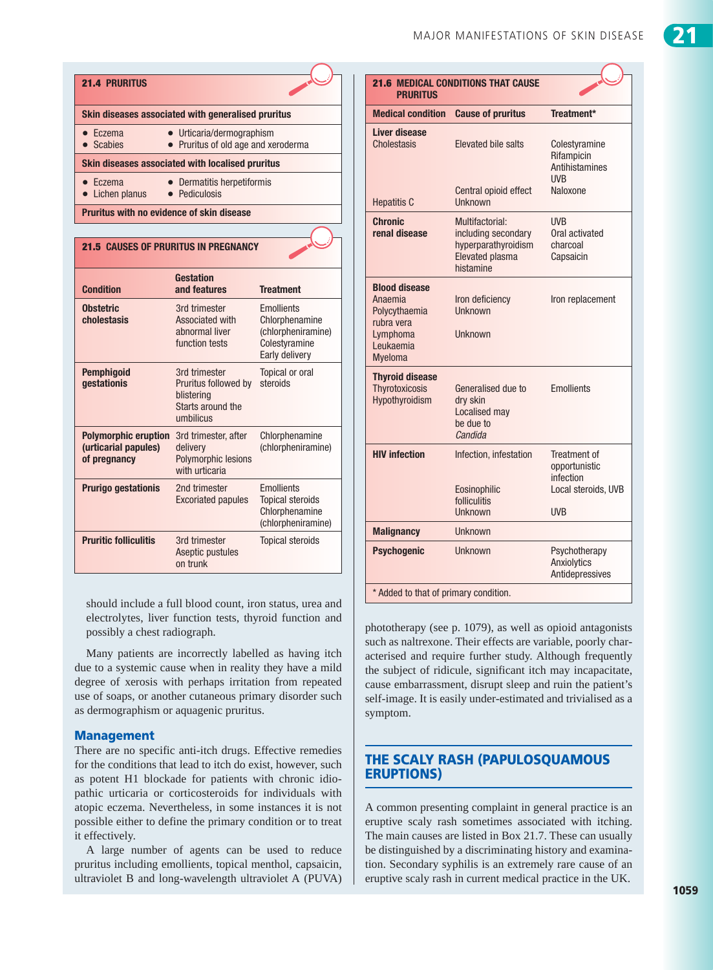## **21.4 PRURITUS**

#### **Skin diseases associated with generalised pruritus**

- Eczema Urticaria/dermographism<br>• Scabies Pruritus of old age and xe
- Pruritus of old age and xeroderma

#### **Skin diseases associated with localised pruritus**

- $\bullet$  Lichen planus
- Eczema Dermatitis herpetiformis<br>• Lichen planus Pediculosis
- **Pruritus with no evidence of skin disease**

|  |  | 21.5  Causes of Pruritus in Pregnancy |
|--|--|---------------------------------------|
|  |  |                                       |

| <b>Condition</b>                                                    | Gestation<br>and features                                                             | <b>Treatment</b>                                                                             |
|---------------------------------------------------------------------|---------------------------------------------------------------------------------------|----------------------------------------------------------------------------------------------|
| <b>Obstetric</b><br>cholestasis                                     | 3rd trimester<br>Associated with<br>abnormal liver<br>function tests                  | <b>Fmollients</b><br>Chlorphenamine<br>(chlorpheniramine)<br>Colestyramine<br>Early delivery |
| <b>Pemphigoid</b><br>gestationis                                    | 3rd trimester<br>Pruritus followed by<br>blistering<br>Starts around the<br>umbilicus | Topical or oral<br>steroids                                                                  |
| <b>Polymorphic eruption</b><br>(urticarial papules)<br>of pregnancy | 3rd trimester, after<br>delivery<br><b>Polymorphic lesions</b><br>with urticaria      | Chlorphenamine<br>(chlorpheniramine)                                                         |
| <b>Prurigo gestationis</b>                                          | 2nd trimester<br><b>Excoriated papules</b>                                            | <b>Fmollients</b><br><b>Topical steroids</b><br>Chlorphenamine<br>(chlorpheniramine)         |
| <b>Pruritic folliculitis</b>                                        | 3rd trimester<br>Aseptic pustules<br>on trunk                                         | <b>Topical steroids</b>                                                                      |

should include a full blood count, iron status, urea and electrolytes, liver function tests, thyroid function and possibly a chest radiograph.

Many patients are incorrectly labelled as having itch due to a systemic cause when in reality they have a mild degree of xerosis with perhaps irritation from repeated use of soaps, or another cutaneous primary disorder such as dermographism or aquagenic pruritus.

#### **Management**

There are no specific anti-itch drugs. Effective remedies for the conditions that lead to itch do exist, however, such as potent H1 blockade for patients with chronic idiopathic urticaria or corticosteroids for individuals with atopic eczema. Nevertheless, in some instances it is not possible either to define the primary condition or to treat it effectively.

A large number of agents can be used to reduce pruritus including emollients, topical menthol, capsaicin, ultraviolet B and long-wavelength ultraviolet A (PUVA)

| <b>21.6 MEDICAL CONDITIONS THAT CAUSE</b><br><b>PRURITUS</b>                                              |                                                                                               |                                                                                        |  |  |  |
|-----------------------------------------------------------------------------------------------------------|-----------------------------------------------------------------------------------------------|----------------------------------------------------------------------------------------|--|--|--|
| <b>Medical condition</b>                                                                                  | <b>Cause of pruritus</b>                                                                      | Treatment*                                                                             |  |  |  |
| <b>Liver disease</b><br>Cholestasis                                                                       | Elevated bile salts                                                                           | Colestyramine<br>Rifampicin<br>Antihistamines<br><b>IJVB</b>                           |  |  |  |
| <b>Hepatitis C</b>                                                                                        | Central opioid effect<br><b>Ilnknown</b>                                                      | Naloxone                                                                               |  |  |  |
| <b>Chronic</b><br>renal disease                                                                           | Multifactorial:<br>including secondary<br>hyperparathyroidism<br>Elevated plasma<br>histamine | <b>IJVB</b><br>Oral activated<br>charcoal<br>Capsaicin                                 |  |  |  |
| <b>Blood disease</b><br>Anaemia<br>Polycythaemia<br>rubra vera<br>Lymphoma<br>Leukaemia<br><b>Myeloma</b> | Iron deficiency<br>Unknown<br>Unknown                                                         | Iron replacement                                                                       |  |  |  |
| <b>Thyroid disease</b><br>Thyrotoxicosis<br>Hypothyroidism                                                | Generalised due to<br>dry skin<br>Localised may<br>be due to<br>Candida                       | <b>Emollients</b>                                                                      |  |  |  |
| <b>HIV infection</b>                                                                                      | Infection, infestation<br>Eosinophilic<br>folliculitis<br>Unknown                             | <b>Treatment of</b><br>opportunistic<br>infection<br>Local steroids, UVB<br><b>UVB</b> |  |  |  |
| <b>Malignancy</b>                                                                                         | <b>Unknown</b>                                                                                |                                                                                        |  |  |  |
| <b>Psychogenic</b>                                                                                        | Unknown                                                                                       | Psychotherapy<br>Anxiolytics<br>Antidepressives                                        |  |  |  |

phototherapy (see p. 1079), as well as opioid antagonists such as naltrexone. Their effects are variable, poorly characterised and require further study. Although frequently the subject of ridicule, significant itch may incapacitate, cause embarrassment, disrupt sleep and ruin the patient's self-image. It is easily under-estimated and trivialised as a symptom.

# **THE SCALY RASH (PAPULOSQUAMOUS ERUPTIONS)**

A common presenting complaint in general practice is an eruptive scaly rash sometimes associated with itching. The main causes are listed in Box 21.7. These can usually be distinguished by a discriminating history and examination. Secondary syphilis is an extremely rare cause of an eruptive scaly rash in current medical practice in the UK.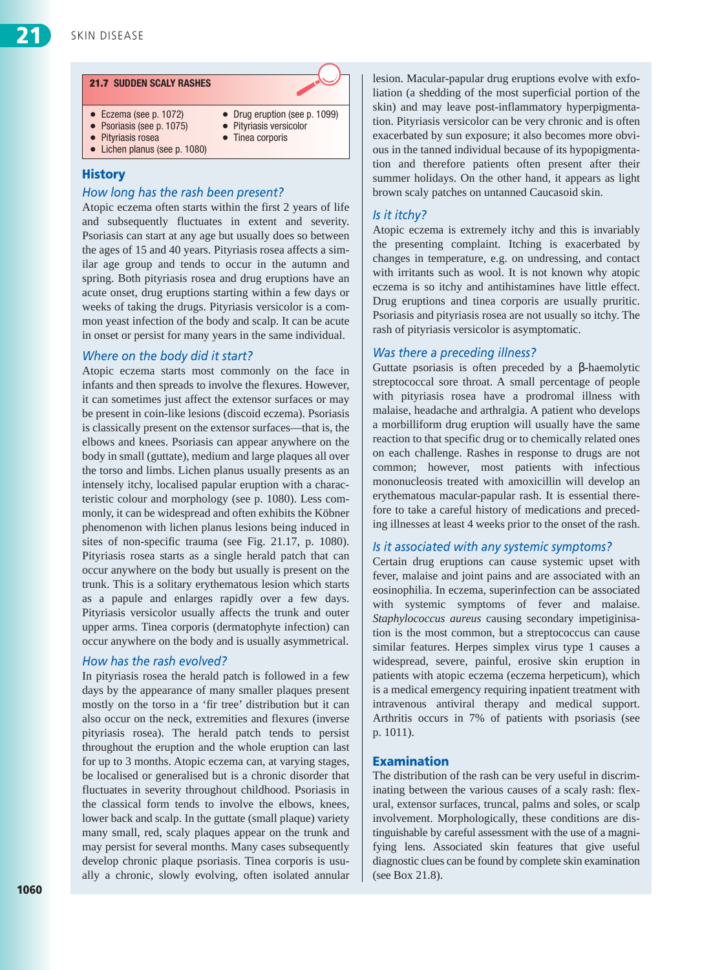## **21.7 SUDDEN SCALY RASHES**

- 
- Eczema (see p. 1072) Drug eruption (see p. 1099)<br>• Psoriasis (see p. 1075) Pityriasis versicolor
- Psoriasis (see p. 1075) Pityriasis versi<br>• Pityriasis rosea Tinea corporis
- Pityriasis rosea • Lichen planus (see p. 1080)

# **History**

# *How long has the rash been present?*

Atopic eczema often starts within the first 2 years of life and subsequently fluctuates in extent and severity. Psoriasis can start at any age but usually does so between the ages of 15 and 40 years. Pityriasis rosea affects a similar age group and tends to occur in the autumn and spring. Both pityriasis rosea and drug eruptions have an acute onset, drug eruptions starting within a few days or weeks of taking the drugs. Pityriasis versicolor is a common yeast infection of the body and scalp. It can be acute in onset or persist for many years in the same individual.

# *Where on the body did it start?*

Atopic eczema starts most commonly on the face in infants and then spreads to involve the flexures. However, it can sometimes just affect the extensor surfaces or may be present in coin-like lesions (discoid eczema). Psoriasis is classically present on the extensor surfaces—that is, the elbows and knees. Psoriasis can appear anywhere on the body in small (guttate), medium and large plaques all over the torso and limbs. Lichen planus usually presents as an intensely itchy, localised papular eruption with a characteristic colour and morphology (see p. 1080). Less commonly, it can be widespread and often exhibits the Köbner phenomenon with lichen planus lesions being induced in sites of non-specific trauma (see Fig. 21.17, p. 1080). Pityriasis rosea starts as a single herald patch that can occur anywhere on the body but usually is present on the trunk. This is a solitary erythematous lesion which starts as a papule and enlarges rapidly over a few days. Pityriasis versicolor usually affects the trunk and outer upper arms. Tinea corporis (dermatophyte infection) can occur anywhere on the body and is usually asymmetrical.

# *How has the rash evolved?*

In pityriasis rosea the herald patch is followed in a few days by the appearance of many smaller plaques present mostly on the torso in a 'fir tree' distribution but it can also occur on the neck, extremities and flexures (inverse pityriasis rosea). The herald patch tends to persist throughout the eruption and the whole eruption can last for up to 3 months. Atopic eczema can, at varying stages, be localised or generalised but is a chronic disorder that fluctuates in severity throughout childhood. Psoriasis in the classical form tends to involve the elbows, knees, lower back and scalp. In the guttate (small plaque) variety many small, red, scaly plaques appear on the trunk and may persist for several months. Many cases subsequently develop chronic plaque psoriasis. Tinea corporis is usually a chronic, slowly evolving, often isolated annular lesion. Macular-papular drug eruptions evolve with exfoliation (a shedding of the most superficial portion of the skin) and may leave post-inflammatory hyperpigmentation. Pityriasis versicolor can be very chronic and is often exacerbated by sun exposure; it also becomes more obvious in the tanned individual because of its hypopigmentation and therefore patients often present after their summer holidays. On the other hand, it appears as light brown scaly patches on untanned Caucasoid skin.

# *Is it itchy?*

Atopic eczema is extremely itchy and this is invariably the presenting complaint. Itching is exacerbated by changes in temperature, e.g. on undressing, and contact with irritants such as wool. It is not known why atopic eczema is so itchy and antihistamines have little effect. Drug eruptions and tinea corporis are usually pruritic. Psoriasis and pityriasis rosea are not usually so itchy. The rash of pityriasis versicolor is asymptomatic.

# *Was there a preceding illness?*

Guttate psoriasis is often preceded by a β-haemolytic streptococcal sore throat. A small percentage of people with pityriasis rosea have a prodromal illness with malaise, headache and arthralgia. A patient who develops a morbilliform drug eruption will usually have the same reaction to that specific drug or to chemically related ones on each challenge. Rashes in response to drugs are not common; however, most patients with infectious mononucleosis treated with amoxicillin will develop an erythematous macular-papular rash. It is essential therefore to take a careful history of medications and preceding illnesses at least 4 weeks prior to the onset of the rash.

### *Is it associated with any systemic symptoms?*

Certain drug eruptions can cause systemic upset with fever, malaise and joint pains and are associated with an eosinophilia. In eczema, superinfection can be associated with systemic symptoms of fever and malaise. *Staphylococcus aureus* causing secondary impetiginisation is the most common, but a streptococcus can cause similar features. Herpes simplex virus type 1 causes a widespread, severe, painful, erosive skin eruption in patients with atopic eczema (eczema herpeticum), which is a medical emergency requiring inpatient treatment with intravenous antiviral therapy and medical support. Arthritis occurs in 7% of patients with psoriasis (see p. 1011).

# **Examination**

The distribution of the rash can be very useful in discriminating between the various causes of a scaly rash: flexural, extensor surfaces, truncal, palms and soles, or scalp involvement. Morphologically, these conditions are distinguishable by careful assessment with the use of a magnifying lens. Associated skin features that give useful diagnostic clues can be found by complete skin examination (see Box 21.8).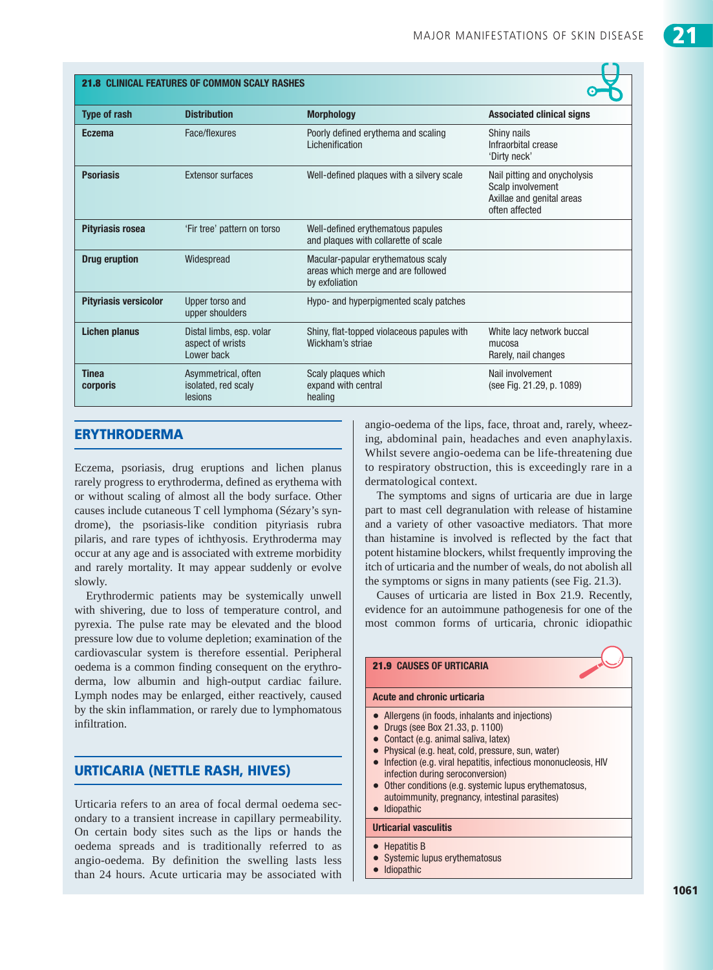| <b>21.8 CLINICAL FEATURES OF COMMON SCALY RASHES</b> |                                                            |                                                                                                                                               |                                                    |  |
|------------------------------------------------------|------------------------------------------------------------|-----------------------------------------------------------------------------------------------------------------------------------------------|----------------------------------------------------|--|
| <b>Type of rash</b>                                  | <b>Distribution</b>                                        | <b>Morphology</b>                                                                                                                             | <b>Associated clinical signs</b>                   |  |
| Eczema                                               | Face/flexures                                              | Poorly defined erythema and scaling<br>Lichenification                                                                                        | Shiny nails<br>Infraorbital crease<br>'Dirty neck' |  |
| <b>Psoriasis</b>                                     | <b>Extensor surfaces</b>                                   | Well-defined plaques with a silvery scale<br>Nail pitting and onycholysis<br>Scalp involvement<br>Axillae and genital areas<br>often affected |                                                    |  |
| <b>Pityriasis rosea</b>                              | 'Fir tree' pattern on torso                                | Well-defined erythematous papules<br>and plaques with collarette of scale                                                                     |                                                    |  |
| <b>Drug eruption</b>                                 | Widespread                                                 | Macular-papular erythematous scaly<br>areas which merge and are followed<br>by exfoliation                                                    |                                                    |  |
| <b>Pityriasis versicolor</b>                         | Upper torso and<br>upper shoulders                         | Hypo- and hyperpigmented scaly patches                                                                                                        |                                                    |  |
| <b>Lichen planus</b>                                 | Distal limbs, esp. volar<br>aspect of wrists<br>Lower back | Shiny, flat-topped violaceous papules with<br>White lacy network buccal<br>Wickham's striae<br>mucosa<br>Rarely, nail changes                 |                                                    |  |
| <b>Tinea</b><br>corporis                             | Asymmetrical, often<br>isolated, red scaly<br>lesions      | Scaly plaques which<br>expand with central<br>healing                                                                                         | Nail involvement<br>(see Fig. 21.29, p. 1089)      |  |

# **ERYTHRODERMA**

Eczema, psoriasis, drug eruptions and lichen planus rarely progress to erythroderma, defined as erythema with or without scaling of almost all the body surface. Other causes include cutaneous T cell lymphoma (Sézary's syndrome), the psoriasis-like condition pityriasis rubra pilaris, and rare types of ichthyosis. Erythroderma may occur at any age and is associated with extreme morbidity and rarely mortality. It may appear suddenly or evolve slowly.

Erythrodermic patients may be systemically unwell with shivering, due to loss of temperature control, and pyrexia. The pulse rate may be elevated and the blood pressure low due to volume depletion; examination of the cardiovascular system is therefore essential. Peripheral oedema is a common finding consequent on the erythroderma, low albumin and high-output cardiac failure. Lymph nodes may be enlarged, either reactively, caused by the skin inflammation, or rarely due to lymphomatous infiltration.

# **URTICARIA (NETTLE RASH, HIVES)**

Urticaria refers to an area of focal dermal oedema secondary to a transient increase in capillary permeability. On certain body sites such as the lips or hands the oedema spreads and is traditionally referred to as angio-oedema. By definition the swelling lasts less than 24 hours. Acute urticaria may be associated with

angio-oedema of the lips, face, throat and, rarely, wheezing, abdominal pain, headaches and even anaphylaxis. Whilst severe angio-oedema can be life-threatening due to respiratory obstruction, this is exceedingly rare in a dermatological context.

The symptoms and signs of urticaria are due in large part to mast cell degranulation with release of histamine and a variety of other vasoactive mediators. That more than histamine is involved is reflected by the fact that potent histamine blockers, whilst frequently improving the itch of urticaria and the number of weals, do not abolish all the symptoms or signs in many patients (see Fig. 21.3).

Causes of urticaria are listed in Box 21.9. Recently, evidence for an autoimmune pathogenesis for one of the most common forms of urticaria, chronic idiopathic

# **21.9 CAUSES OF URTICARIA Acute and chronic urticaria** • Allergens (in foods, inhalants and injections) • Drugs (see Box 21.33, p. 1100) • Contact (e.g. animal saliva, latex) • Physical (e.g. heat, cold, pressure, sun, water) • Infection (e.g. viral hepatitis, infectious mononucleosis, HIV infection during seroconversion) • Other conditions (e.g. systemic lupus erythematosus, autoimmunity, pregnancy, intestinal parasites) • Idiopathic **Urticarial vasculitis** • Hepatitis B Systemic lupus erythematosus • Idiopathic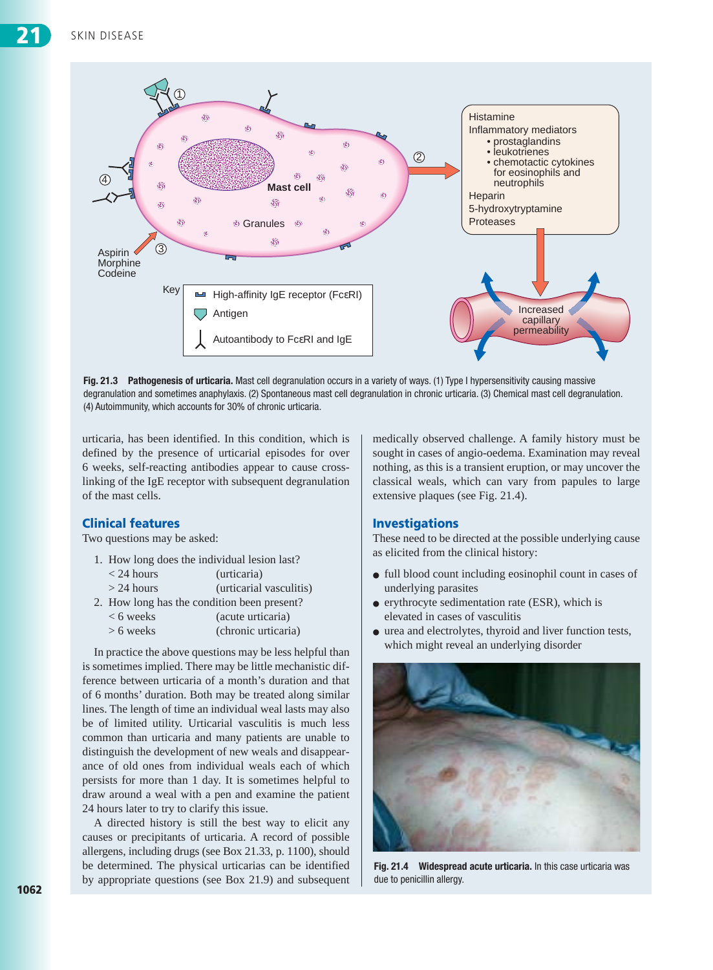

**Fig. 21.3 Pathogenesis of urticaria.** Mast cell degranulation occurs in a variety of ways. (1) Type I hypersensitivity causing massive degranulation and sometimes anaphylaxis. (2) Spontaneous mast cell degranulation in chronic urticaria. (3) Chemical mast cell degranulation. (4) Autoimmunity, which accounts for 30% of chronic urticaria.

urticaria, has been identified. In this condition, which is defined by the presence of urticarial episodes for over 6 weeks, self-reacting antibodies appear to cause crosslinking of the IgE receptor with subsequent degranulation of the mast cells.

## **Clinical features**

Two questions may be asked:

| 1. How long does the individual lesion last? |                         |  |  |  |
|----------------------------------------------|-------------------------|--|--|--|
| $<$ 24 hours                                 | (urticaria)             |  |  |  |
| $> 24$ hours                                 | (urticarial vasculitis) |  |  |  |
| 2. How long has the condition been present?  |                         |  |  |  |
| $<$ 6 weeks                                  | (acute urticaria)       |  |  |  |
| $> 6$ weeks                                  | (chronic urticaria)     |  |  |  |
|                                              |                         |  |  |  |

In practice the above questions may be less helpful than is sometimes implied. There may be little mechanistic difference between urticaria of a month's duration and that of 6 months' duration. Both may be treated along similar lines. The length of time an individual weal lasts may also be of limited utility. Urticarial vasculitis is much less common than urticaria and many patients are unable to distinguish the development of new weals and disappearance of old ones from individual weals each of which persists for more than 1 day. It is sometimes helpful to draw around a weal with a pen and examine the patient 24 hours later to try to clarify this issue.

A directed history is still the best way to elicit any causes or precipitants of urticaria. A record of possible allergens, including drugs (see Box 21.33, p. 1100), should be determined. The physical urticarias can be identified by appropriate questions (see Box 21.9) and subsequent medically observed challenge. A family history must be sought in cases of angio-oedema. Examination may reveal nothing, as this is a transient eruption, or may uncover the classical weals, which can vary from papules to large extensive plaques (see Fig. 21.4).

## **Investigations**

These need to be directed at the possible underlying cause as elicited from the clinical history:

- full blood count including eosinophil count in cases of underlying parasites
- erythrocyte sedimentation rate (ESR), which is elevated in cases of vasculitis
- urea and electrolytes, thyroid and liver function tests, which might reveal an underlying disorder



**Fig. 21.4 Widespread acute urticaria.** In this case urticaria was due to penicillin allergy.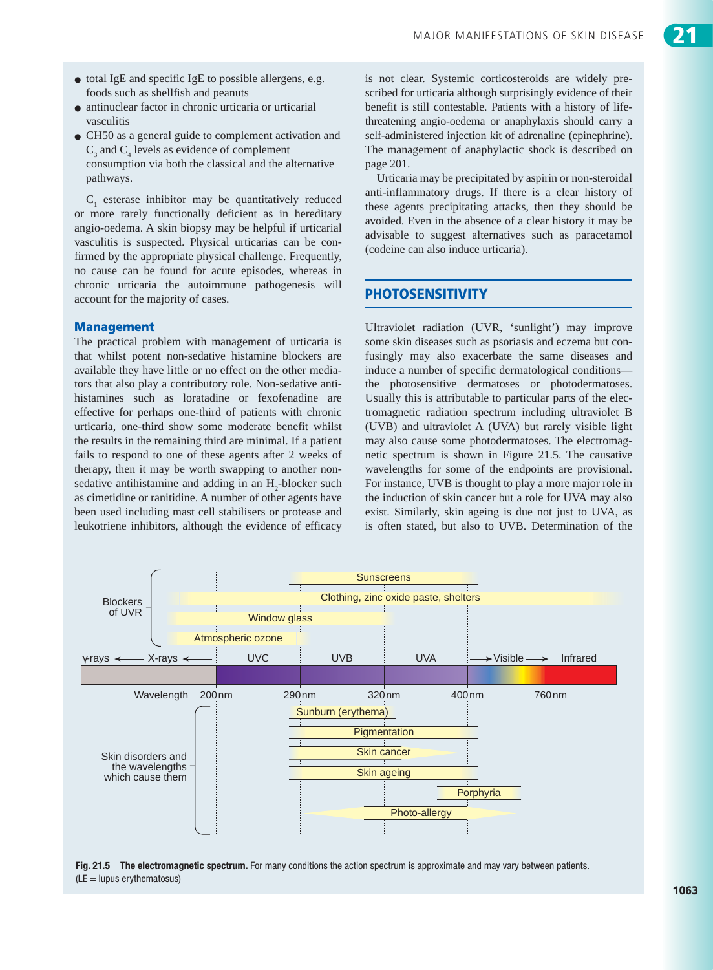- total IgE and specific IgE to possible allergens, e.g. foods such as shellfish and peanuts
- antinuclear factor in chronic urticaria or urticarial vasculitis
- CH50 as a general guide to complement activation and  $C_3$  and  $C_4$  levels as evidence of complement consumption via both the classical and the alternative pathways.

C<sub>1</sub> esterase inhibitor may be quantitatively reduced or more rarely functionally deficient as in hereditary angio-oedema. A skin biopsy may be helpful if urticarial vasculitis is suspected. Physical urticarias can be confirmed by the appropriate physical challenge. Frequently, no cause can be found for acute episodes, whereas in chronic urticaria the autoimmune pathogenesis will account for the majority of cases.

## **Management**

The practical problem with management of urticaria is that whilst potent non-sedative histamine blockers are available they have little or no effect on the other mediators that also play a contributory role. Non-sedative antihistamines such as loratadine or fexofenadine are effective for perhaps one-third of patients with chronic urticaria, one-third show some moderate benefit whilst the results in the remaining third are minimal. If a patient fails to respond to one of these agents after 2 weeks of therapy, then it may be worth swapping to another nonsedative antihistamine and adding in an  $H_2$ -blocker such as cimetidine or ranitidine. A number of other agents have been used including mast cell stabilisers or protease and leukotriene inhibitors, although the evidence of efficacy

is not clear. Systemic corticosteroids are widely prescribed for urticaria although surprisingly evidence of their benefit is still contestable. Patients with a history of lifethreatening angio-oedema or anaphylaxis should carry a self-administered injection kit of adrenaline (epinephrine). The management of anaphylactic shock is described on page 201.

Urticaria may be precipitated by aspirin or non-steroidal anti-inflammatory drugs. If there is a clear history of these agents precipitating attacks, then they should be avoided. Even in the absence of a clear history it may be advisable to suggest alternatives such as paracetamol (codeine can also induce urticaria).

# **PHOTOSENSITIVITY**

Ultraviolet radiation (UVR, 'sunlight') may improve some skin diseases such as psoriasis and eczema but confusingly may also exacerbate the same diseases and induce a number of specific dermatological conditions the photosensitive dermatoses or photodermatoses. Usually this is attributable to particular parts of the electromagnetic radiation spectrum including ultraviolet B (UVB) and ultraviolet A (UVA) but rarely visible light may also cause some photodermatoses. The electromagnetic spectrum is shown in Figure 21.5. The causative wavelengths for some of the endpoints are provisional. For instance, UVB is thought to play a more major role in the induction of skin cancer but a role for UVA may also exist. Similarly, skin ageing is due not just to UVA, as is often stated, but also to UVB. Determination of the



**Fig. 21.5 The electromagnetic spectrum.** For many conditions the action spectrum is approximate and may vary between patients.  $(LE =$  lupus erythematosus)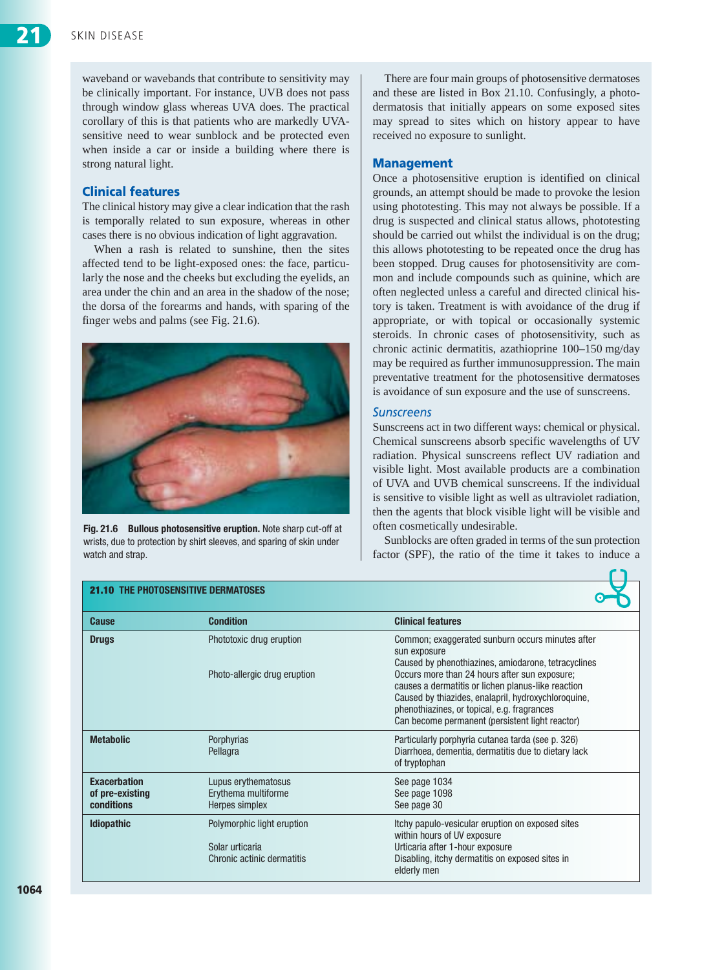waveband or wavebands that contribute to sensitivity may be clinically important. For instance, UVB does not pass through window glass whereas UVA does. The practical corollary of this is that patients who are markedly UVAsensitive need to wear sunblock and be protected even when inside a car or inside a building where there is strong natural light.

## **Clinical features**

The clinical history may give a clear indication that the rash is temporally related to sun exposure, whereas in other cases there is no obvious indication of light aggravation.

When a rash is related to sunshine, then the sites affected tend to be light-exposed ones: the face, particularly the nose and the cheeks but excluding the eyelids, an area under the chin and an area in the shadow of the nose; the dorsa of the forearms and hands, with sparing of the finger webs and palms (see Fig. 21.6).



**Fig. 21.6 Bullous photosensitive eruption.** Note sharp cut-off at wrists, due to protection by shirt sleeves, and sparing of skin under watch and strap.

There are four main groups of photosensitive dermatoses and these are listed in Box 21.10. Confusingly, a photodermatosis that initially appears on some exposed sites may spread to sites which on history appear to have received no exposure to sunlight.

#### **Management**

Once a photosensitive eruption is identified on clinical grounds, an attempt should be made to provoke the lesion using phototesting. This may not always be possible. If a drug is suspected and clinical status allows, phototesting should be carried out whilst the individual is on the drug; this allows phototesting to be repeated once the drug has been stopped. Drug causes for photosensitivity are common and include compounds such as quinine, which are often neglected unless a careful and directed clinical history is taken. Treatment is with avoidance of the drug if appropriate, or with topical or occasionally systemic steroids. In chronic cases of photosensitivity, such as chronic actinic dermatitis, azathioprine 100–150 mg/day may be required as further immunosuppression. The main preventative treatment for the photosensitive dermatoses is avoidance of sun exposure and the use of sunscreens.

#### *Sunscreens*

Sunscreens act in two different ways: chemical or physical. Chemical sunscreens absorb specific wavelengths of UV radiation. Physical sunscreens reflect UV radiation and visible light. Most available products are a combination of UVA and UVB chemical sunscreens. If the individual is sensitive to visible light as well as ultraviolet radiation, then the agents that block visible light will be visible and often cosmetically undesirable.

Sunblocks are often graded in terms of the sun protection factor (SPF), the ratio of the time it takes to induce a

| Cause                                                | <b>Condition</b>                                                            | <b>Clinical features</b>                                                                                                                                                                                                                                                                                                                                                                |
|------------------------------------------------------|-----------------------------------------------------------------------------|-----------------------------------------------------------------------------------------------------------------------------------------------------------------------------------------------------------------------------------------------------------------------------------------------------------------------------------------------------------------------------------------|
| <b>Drugs</b>                                         | Phototoxic drug eruption<br>Photo-allergic drug eruption                    | Common; exaggerated sunburn occurs minutes after<br>sun exposure<br>Caused by phenothiazines, amiodarone, tetracyclines<br>Occurs more than 24 hours after sun exposure;<br>causes a dermatitis or lichen planus-like reaction<br>Caused by thiazides, enalapril, hydroxychloroquine,<br>phenothiazines, or topical, e.g. fragrances<br>Can become permanent (persistent light reactor) |
| <b>Metabolic</b>                                     | Porphyrias<br>Pellagra                                                      | Particularly porphyria cutanea tarda (see p. 326)<br>Diarrhoea, dementia, dermatitis due to dietary lack<br>of tryptophan                                                                                                                                                                                                                                                               |
| <b>Exacerbation</b><br>of pre-existing<br>conditions | Lupus erythematosus<br>Erythema multiforme<br>Herpes simplex                | See page 1034<br>See page 1098<br>See page 30                                                                                                                                                                                                                                                                                                                                           |
| <b>Idiopathic</b>                                    | Polymorphic light eruption<br>Solar urticaria<br>Chronic actinic dermatitis | Itchy papulo-vesicular eruption on exposed sites<br>within hours of UV exposure<br>Urticaria after 1-hour exposure<br>Disabling, itchy dermatitis on exposed sites in<br>elderly men                                                                                                                                                                                                    |

## **21.10 THE PHOTOSENSITIVE DERMATOSES**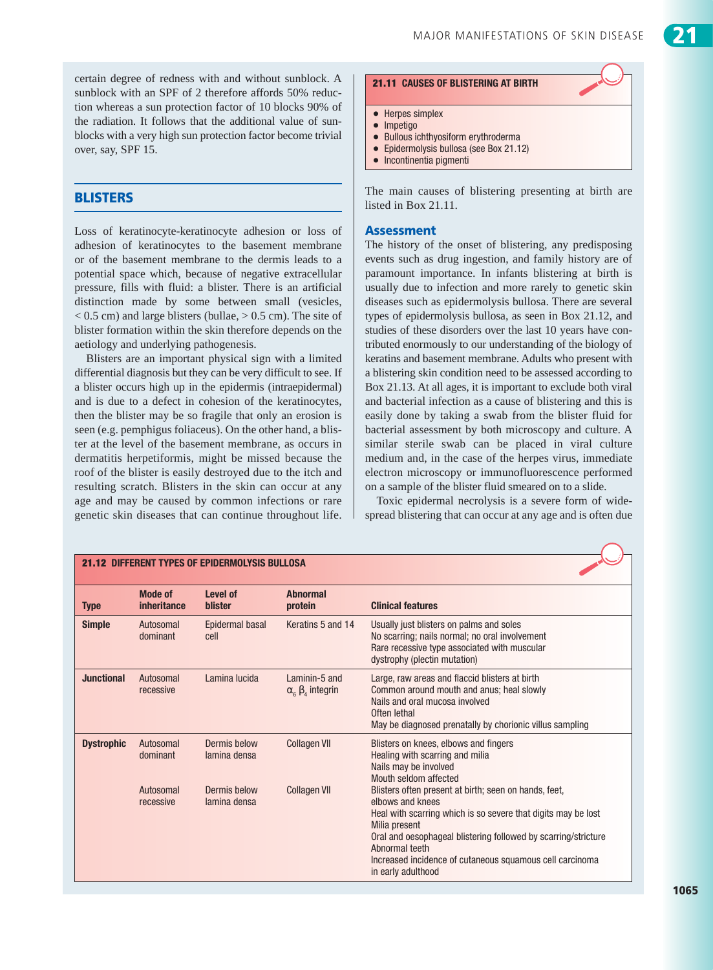certain degree of redness with and without sunblock. A sunblock with an SPF of 2 therefore affords 50% reduction whereas a sun protection factor of 10 blocks 90% of the radiation. It follows that the additional value of sunblocks with a very high sun protection factor become trivial over, say, SPF 15.

# **BLISTERS**

Loss of keratinocyte-keratinocyte adhesion or loss of adhesion of keratinocytes to the basement membrane or of the basement membrane to the dermis leads to a potential space which, because of negative extracellular pressure, fills with fluid: a blister. There is an artificial distinction made by some between small (vesicles,  $< 0.5$  cm) and large blisters (bullae,  $> 0.5$  cm). The site of blister formation within the skin therefore depends on the aetiology and underlying pathogenesis.

Blisters are an important physical sign with a limited differential diagnosis but they can be very difficult to see. If a blister occurs high up in the epidermis (intraepidermal) and is due to a defect in cohesion of the keratinocytes, then the blister may be so fragile that only an erosion is seen (e.g. pemphigus foliaceus). On the other hand, a blister at the level of the basement membrane, as occurs in dermatitis herpetiformis, might be missed because the roof of the blister is easily destroyed due to the itch and resulting scratch. Blisters in the skin can occur at any age and may be caused by common infections or rare genetic skin diseases that can continue throughout life.

#### **21.11 CAUSES OF BLISTERING AT BIRTH**

- Herpes simplex
- Impetigo
- Bullous ichthyosiform erythroderma • Epidermolysis bullosa (see Box 21.12)
- Incontinentia pigmenti
- 

The main causes of blistering presenting at birth are listed in Box 21.11.

#### **Assessment**

The history of the onset of blistering, any predisposing events such as drug ingestion, and family history are of paramount importance. In infants blistering at birth is usually due to infection and more rarely to genetic skin diseases such as epidermolysis bullosa. There are several types of epidermolysis bullosa, as seen in Box 21.12, and studies of these disorders over the last 10 years have contributed enormously to our understanding of the biology of keratins and basement membrane. Adults who present with a blistering skin condition need to be assessed according to Box 21.13. At all ages, it is important to exclude both viral and bacterial infection as a cause of blistering and this is easily done by taking a swab from the blister fluid for bacterial assessment by both microscopy and culture. A similar sterile swab can be placed in viral culture medium and, in the case of the herpes virus, immediate electron microscopy or immunofluorescence performed on a sample of the blister fluid smeared on to a slide.

Toxic epidermal necrolysis is a severe form of widespread blistering that can occur at any age and is often due

| <b>21.12 DIFFERENT TYPES OF EPIDERMOLYSIS BULLOSA</b> |                                                 |                                                              |                                                             |                                                                                                                                                                                                                                                                                                                                                                                                                                                                 |  |
|-------------------------------------------------------|-------------------------------------------------|--------------------------------------------------------------|-------------------------------------------------------------|-----------------------------------------------------------------------------------------------------------------------------------------------------------------------------------------------------------------------------------------------------------------------------------------------------------------------------------------------------------------------------------------------------------------------------------------------------------------|--|
| <b>Type</b>                                           | <b>Mode of</b><br>inheritance                   | <b>Level of</b><br>blister                                   | <b>Abnormal</b><br>protein                                  | <b>Clinical features</b>                                                                                                                                                                                                                                                                                                                                                                                                                                        |  |
| <b>Simple</b>                                         | Autosomal<br>dominant                           | Epidermal basal<br>cell                                      | Keratins 5 and 14                                           | Usually just blisters on palms and soles<br>No scarring; nails normal; no oral involvement<br>Rare recessive type associated with muscular<br>dystrophy (plectin mutation)                                                                                                                                                                                                                                                                                      |  |
| <b>Junctional</b>                                     | Autosomal<br>recessive                          | Lamina lucida                                                | I aminin-5 and<br>$\alpha_{\rm s}$ $\beta_{\rm A}$ integrin | Large, raw areas and flaccid blisters at birth<br>Common around mouth and anus; heal slowly<br>Nails and oral mucosa involved<br>Often lethal<br>May be diagnosed prenatally by chorionic villus sampling                                                                                                                                                                                                                                                       |  |
| <b>Dystrophic</b>                                     | Autosomal<br>dominant<br>Autosomal<br>recessive | Dermis below<br>lamina densa<br>Dermis below<br>lamina densa | <b>Collagen VII</b><br><b>Collagen VII</b>                  | Blisters on knees, elbows and fingers<br>Healing with scarring and milia<br>Nails may be involved<br>Mouth seldom affected<br>Blisters often present at birth; seen on hands, feet,<br>elbows and knees<br>Heal with scarring which is so severe that digits may be lost<br>Milia present<br>Oral and oesophageal blistering followed by scarring/stricture<br>Abnormal teeth<br>Increased incidence of cutaneous squamous cell carcinoma<br>in early adulthood |  |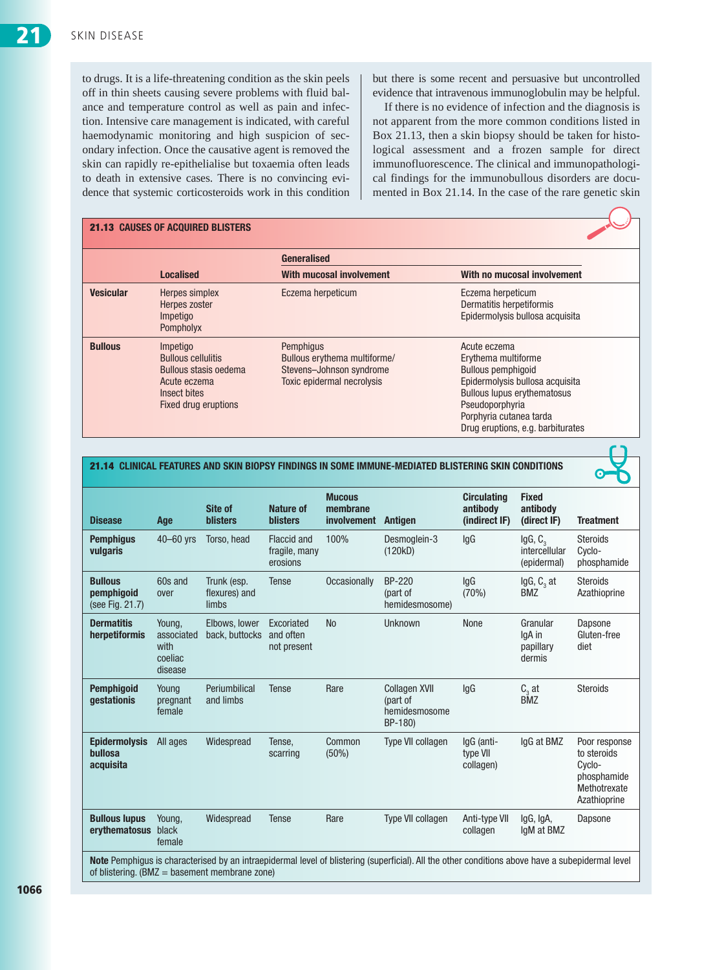to drugs. It is a life-threatening condition as the skin peels off in thin sheets causing severe problems with fluid balance and temperature control as well as pain and infection. Intensive care management is indicated, with careful haemodynamic monitoring and high suspicion of secondary infection. Once the causative agent is removed the skin can rapidly re-epithelialise but toxaemia often leads to death in extensive cases. There is no convincing evidence that systemic corticosteroids work in this condition but there is some recent and persuasive but uncontrolled evidence that intravenous immunoglobulin may be helpful.

If there is no evidence of infection and the diagnosis is not apparent from the more common conditions listed in Box 21.13, then a skin biopsy should be taken for histological assessment and a frozen sample for direct immunofluorescence. The clinical and immunopathological findings for the immunobullous disorders are documented in Box 21.14. In the case of the rare genetic skin

| <b>21.13 CAUSES OF ACQUIRED BLISTERS</b> |                                                                                                                               |                                                                                                     |                                                                                                                                                                                                                              |  |  |
|------------------------------------------|-------------------------------------------------------------------------------------------------------------------------------|-----------------------------------------------------------------------------------------------------|------------------------------------------------------------------------------------------------------------------------------------------------------------------------------------------------------------------------------|--|--|
|                                          |                                                                                                                               | <b>Generalised</b>                                                                                  |                                                                                                                                                                                                                              |  |  |
|                                          | <b>Localised</b>                                                                                                              | <b>With mucosal involvement</b>                                                                     | With no mucosal involvement                                                                                                                                                                                                  |  |  |
| <b>Vesicular</b>                         | Herpes simplex<br>Herpes zoster<br>Impetigo<br>Pompholyx                                                                      | Eczema herpeticum                                                                                   | Eczema herpeticum<br>Dermatitis herpetiformis<br>Epidermolysis bullosa acquisita                                                                                                                                             |  |  |
| <b>Bullous</b>                           | Impetigo<br><b>Bullous cellulitis</b><br><b>Bullous stasis oedema</b><br>Acute eczema<br>Insect bites<br>Fixed drug eruptions | Pemphiqus<br>Bullous erythema multiforme/<br>Stevens-Johnson syndrome<br>Toxic epidermal necrolysis | Acute eczema<br>Erythema multiforme<br><b>Bullous pemphiqoid</b><br>Epidermolysis bullosa acquisita<br><b>Bullous lupus erythematosus</b><br>Pseudoporphyria<br>Porphyria cutanea tarda<br>Drug eruptions, e.g. barbiturates |  |  |

| 21.14 CLINICAL FEATURES AND SKIN BIOPSY FINDINGS IN SOME IMMUNE-MEDIATED BLISTERING SKIN CONDITIONS |                                                                                                                                                                                                     |                                       |                                                 |                                          |                                                              |                                                 |                                           |                                                                                       |
|-----------------------------------------------------------------------------------------------------|-----------------------------------------------------------------------------------------------------------------------------------------------------------------------------------------------------|---------------------------------------|-------------------------------------------------|------------------------------------------|--------------------------------------------------------------|-------------------------------------------------|-------------------------------------------|---------------------------------------------------------------------------------------|
| <b>Disease</b>                                                                                      | Age                                                                                                                                                                                                 | Site of<br><b>blisters</b>            | Nature of<br><b>blisters</b>                    | <b>Mucous</b><br>membrane<br>involvement | Antigen                                                      | <b>Circulating</b><br>antibody<br>(indirect IF) | <b>Fixed</b><br>antibody<br>(direct IF)   | <b>Treatment</b>                                                                      |
| <b>Pemphiqus</b><br>vulgaris                                                                        | $40 - 60$ yrs                                                                                                                                                                                       | Torso, head                           | <b>Flaccid and</b><br>fragile, many<br>erosions | 100%                                     | Desmoglein-3<br>(120kD)                                      | lgG                                             | lgG, C,<br>intercellular<br>(epidermal)   | <b>Steroids</b><br>Cvclo-<br>phosphamide                                              |
| <b>Bullous</b><br>pemphigoid<br>(see Fig. 21.7)                                                     | 60s and<br>over                                                                                                                                                                                     | Trunk (esp.<br>flexures) and<br>limbs | <b>Tense</b>                                    | <b>Occasionally</b>                      | BP-220<br>(part of<br>hemidesmosome)                         | lgG<br>(70%)                                    | $\lg G$ , $C_3$ at<br><b>BMZ</b>          | <b>Steroids</b><br>Azathioprine                                                       |
| <b>Dermatitis</b><br>herpetiformis                                                                  | Young,<br>associated<br>with<br>coeliac<br>disease                                                                                                                                                  | Elbows, lower<br>back, buttocks       | Excoriated<br>and often<br>not present          | No                                       | Unknown                                                      | None                                            | Granular<br>laA in<br>papillary<br>dermis | Dapsone<br>Gluten-free<br>diet                                                        |
| <b>Pemphigoid</b><br>gestationis                                                                    | Young<br>pregnant<br>female                                                                                                                                                                         | Periumbilical<br>and limbs            | <b>Tense</b>                                    | Rare                                     | <b>Collagen XVII</b><br>(part of<br>hemidesmosome<br>BP-180) | lgG                                             | $C3$ at<br>BMZ                            | <b>Steroids</b>                                                                       |
| <b>Epidermolysis</b><br>bullosa<br>acquisita                                                        | All ages                                                                                                                                                                                            | Widespread                            | Tense.<br>scarring                              | Common<br>(50%)                          | <b>Type VII collagen</b>                                     | IqG (anti-<br>type VII<br>collagen)             | IqG at BMZ                                | Poor response<br>to steroids<br>Cvclo-<br>phosphamide<br>Methotrexate<br>Azathioprine |
| <b>Bullous lupus</b><br>ervthematosus                                                               | Young,<br>black<br>female                                                                                                                                                                           | Widespread                            | <b>Tense</b>                                    | Rare                                     | <b>Type VII collagen</b>                                     | Anti-type VII<br>collagen                       | lgG, IgA,<br>laM at BMZ                   | Dapsone                                                                               |
|                                                                                                     | Note Pemphiqus is characterised by an intraepidermal level of blistering (superficial). All the other conditions above have a subepidermal level<br>of blistering. $(BMZ =$ basement membrane zone) |                                       |                                                 |                                          |                                                              |                                                 |                                           |                                                                                       |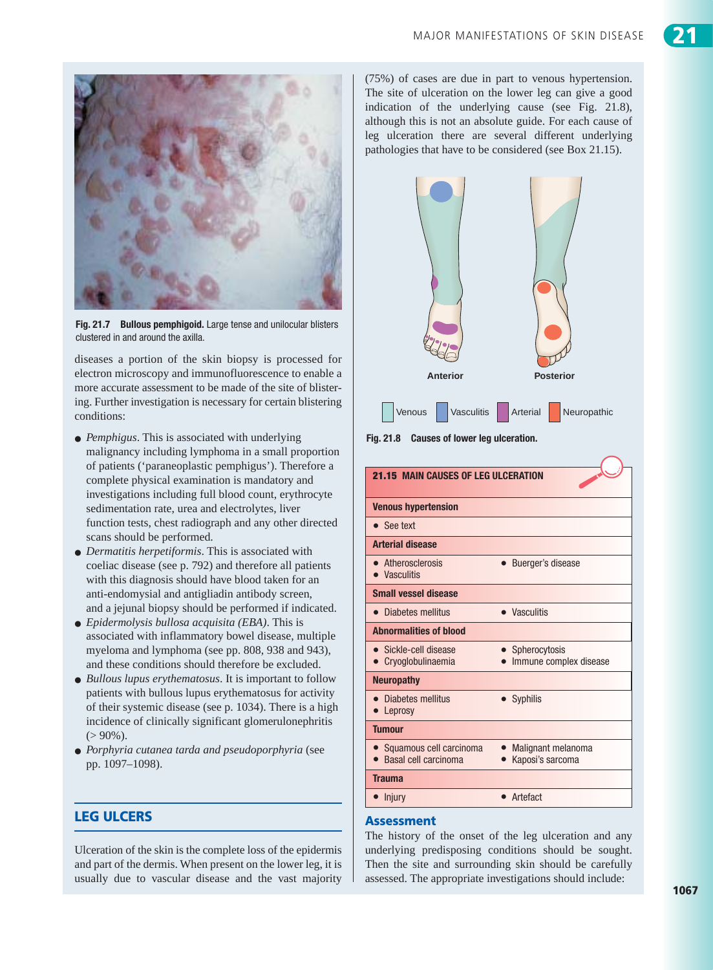

**Fig. 21.7 Bullous pemphigoid.** Large tense and unilocular blisters clustered in and around the axilla.

diseases a portion of the skin biopsy is processed for electron microscopy and immunofluorescence to enable a more accurate assessment to be made of the site of blistering. Further investigation is necessary for certain blistering conditions:

- *Pemphigus*. This is associated with underlying malignancy including lymphoma in a small proportion of patients ('paraneoplastic pemphigus'). Therefore a complete physical examination is mandatory and investigations including full blood count, erythrocyte sedimentation rate, urea and electrolytes, liver function tests, chest radiograph and any other directed scans should be performed.
- *Dermatitis herpetiformis*. This is associated with coeliac disease (see p. 792) and therefore all patients with this diagnosis should have blood taken for an anti-endomysial and antigliadin antibody screen, and a jejunal biopsy should be performed if indicated.
- *Epidermolysis bullosa acquisita (EBA)*. This is associated with inflammatory bowel disease, multiple myeloma and lymphoma (see pp. 808, 938 and 943), and these conditions should therefore be excluded.
- *Bullous lupus erythematosus*. It is important to follow patients with bullous lupus erythematosus for activity of their systemic disease (see p. 1034). There is a high incidence of clinically significant glomerulonephritis  $(> 90\%)$ .
- *Porphyria cutanea tarda and pseudoporphyria* (see pp. 1097–1098).

# **LEG ULCERS**

Ulceration of the skin is the complete loss of the epidermis and part of the dermis. When present on the lower leg, it is usually due to vascular disease and the vast majority

(75%) of cases are due in part to venous hypertension. The site of ulceration on the lower leg can give a good indication of the underlying cause (see Fig. 21.8), although this is not an absolute guide. For each cause of leg ulceration there are several different underlying pathologies that have to be considered (see Box 21.15).



**Fig. 21.8 Causes of lower leg ulceration.**

| <b>21.15 MAIN CAUSES OF LEG ULCERATION</b>      |                                         |  |  |  |  |
|-------------------------------------------------|-----------------------------------------|--|--|--|--|
| <b>Venous hypertension</b>                      |                                         |  |  |  |  |
| $\bullet$ See text                              |                                         |  |  |  |  |
| <b>Arterial disease</b>                         |                                         |  |  |  |  |
| Atherosclerosis<br>Vasculitis                   | Buerger's disease                       |  |  |  |  |
| <b>Small vessel disease</b>                     |                                         |  |  |  |  |
| Diabetes mellitus<br>$\bullet$                  | Vasculitis                              |  |  |  |  |
| <b>Abnormalities of blood</b>                   |                                         |  |  |  |  |
| • Sickle-cell disease<br>Cryoglobulinaemia      | Spherocytosis<br>Immune complex disease |  |  |  |  |
| <b>Neuropathy</b>                               |                                         |  |  |  |  |
| Diabetes mellitus<br>Leprosy                    | • Syphilis                              |  |  |  |  |
| <b>Tumour</b>                                   |                                         |  |  |  |  |
| Squamous cell carcinoma<br>Basal cell carcinoma | Malignant melanoma<br>Kaposi's sarcoma  |  |  |  |  |
| <b>Trauma</b>                                   |                                         |  |  |  |  |
| <b>Injury</b>                                   | • Artefact                              |  |  |  |  |

#### **Assessment**

The history of the onset of the leg ulceration and any underlying predisposing conditions should be sought. Then the site and surrounding skin should be carefully assessed. The appropriate investigations should include: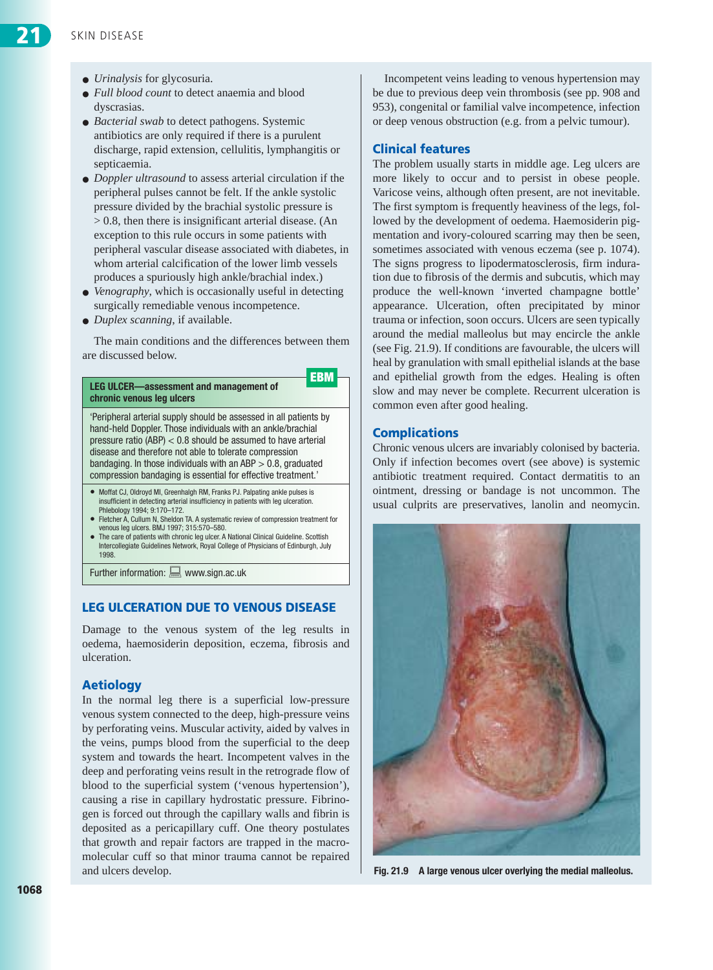- *Urinalysis* for glycosuria.
- *Full blood count* to detect anaemia and blood dyscrasias.
- *Bacterial swab* to detect pathogens. Systemic antibiotics are only required if there is a purulent discharge, rapid extension, cellulitis, lymphangitis or septicaemia.
- *Doppler ultrasound* to assess arterial circulation if the peripheral pulses cannot be felt. If the ankle systolic pressure divided by the brachial systolic pressure is > 0.8, then there is insignificant arterial disease. (An exception to this rule occurs in some patients with peripheral vascular disease associated with diabetes, in whom arterial calcification of the lower limb vessels produces a spuriously high ankle/brachial index.)
- *Venography*, which is occasionally useful in detecting surgically remediable venous incompetence.
- *Duplex scanning*, if available.

The main conditions and the differences between them are discussed below.

#### **LEG ULCER—assessment and management of chronic venous leg ulcers**

'Peripheral arterial supply should be assessed in all patients by hand-held Doppler. Those individuals with an ankle/brachial pressure ratio (ABP) < 0.8 should be assumed to have arterial disease and therefore not able to tolerate compression bandaging. In those individuals with an ABP > 0.8, graduated compression bandaging is essential for effective treatment.'

- Moffat CJ, Oldroyd MI, Greenhalgh RM, Franks PJ. Palpating ankle pulses is insufficient in detecting arterial insufficiency in patients with leg ulceration. Phlebology 1994; 9:170–172.
- Fletcher A, Cullum N, Sheldon TA. A systematic review of compression treatment for venous leg ulcers. BMJ 1997; 315:570–580.
- The care of patients with chronic leg ulcer. A National Clinical Guideline. Scottish Intercollegiate Guidelines Network, Royal College of Physicians of Edinburgh, July 1998.

Further information:  $\Box$  www.sign.ac.uk

# **LEG ULCERATION DUE TO VENOUS DISEASE**

Damage to the venous system of the leg results in oedema, haemosiderin deposition, eczema, fibrosis and ulceration.

## **Aetiology**

In the normal leg there is a superficial low-pressure venous system connected to the deep, high-pressure veins by perforating veins. Muscular activity, aided by valves in the veins, pumps blood from the superficial to the deep system and towards the heart. Incompetent valves in the deep and perforating veins result in the retrograde flow of blood to the superficial system ('venous hypertension'), causing a rise in capillary hydrostatic pressure. Fibrinogen is forced out through the capillary walls and fibrin is deposited as a pericapillary cuff. One theory postulates that growth and repair factors are trapped in the macromolecular cuff so that minor trauma cannot be repaired and ulcers develop.

Incompetent veins leading to venous hypertension may be due to previous deep vein thrombosis (see pp. 908 and 953), congenital or familial valve incompetence, infection or deep venous obstruction (e.g. from a pelvic tumour).

## **Clinical features**

The problem usually starts in middle age. Leg ulcers are more likely to occur and to persist in obese people. Varicose veins, although often present, are not inevitable. The first symptom is frequently heaviness of the legs, followed by the development of oedema. Haemosiderin pigmentation and ivory-coloured scarring may then be seen, sometimes associated with venous eczema (see p. 1074). The signs progress to lipodermatosclerosis, firm induration due to fibrosis of the dermis and subcutis, which may produce the well-known 'inverted champagne bottle' appearance. Ulceration, often precipitated by minor trauma or infection, soon occurs. Ulcers are seen typically around the medial malleolus but may encircle the ankle (see Fig. 21.9). If conditions are favourable, the ulcers will heal by granulation with small epithelial islands at the base and epithelial growth from the edges. Healing is often slow and may never be complete. Recurrent ulceration is common even after good healing.

### **Complications**

**EBM**

Chronic venous ulcers are invariably colonised by bacteria. Only if infection becomes overt (see above) is systemic antibiotic treatment required. Contact dermatitis to an ointment, dressing or bandage is not uncommon. The usual culprits are preservatives, lanolin and neomycin.



**Fig. 21.9 A large venous ulcer overlying the medial malleolus.**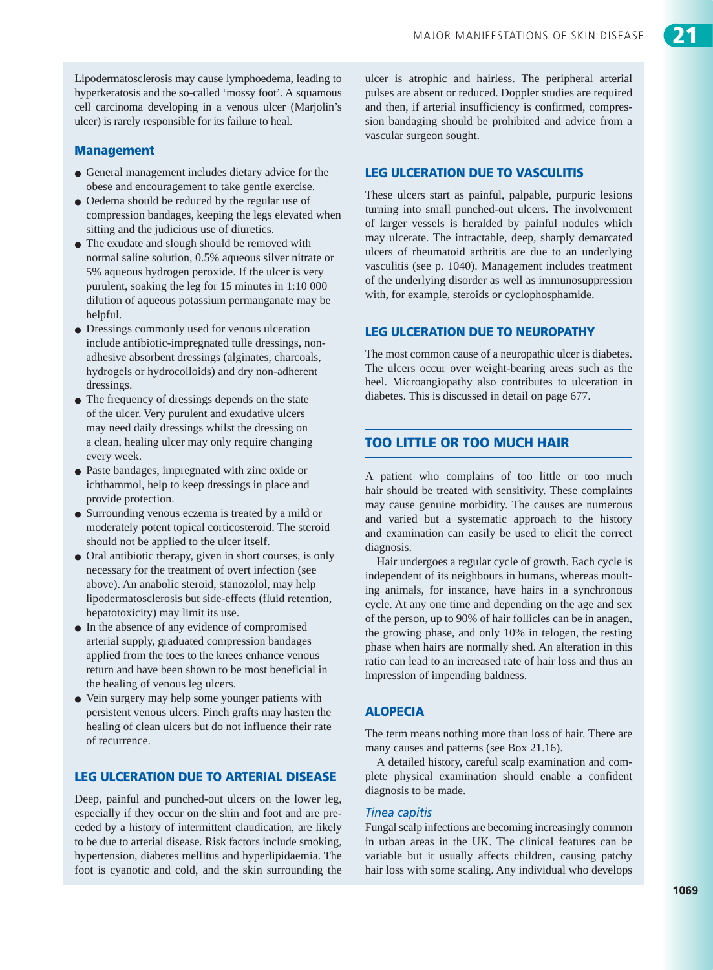Lipodermatosclerosis may cause lymphoedema, leading to hyperkeratosis and the so-called 'mossy foot'. A squamous cell carcinoma developing in a venous ulcer (Marjolin's ulcer) is rarely responsible for its failure to heal.

## **Management**

- General management includes dietary advice for the obese and encouragement to take gentle exercise.
- Oedema should be reduced by the regular use of compression bandages, keeping the legs elevated when sitting and the judicious use of diuretics.
- The exudate and slough should be removed with normal saline solution, 0.5% aqueous silver nitrate or 5% aqueous hydrogen peroxide. If the ulcer is very purulent, soaking the leg for 15 minutes in 1:10 000 dilution of aqueous potassium permanganate may be helpful.
- Dressings commonly used for venous ulceration include antibiotic-impregnated tulle dressings, nonadhesive absorbent dressings (alginates, charcoals, hydrogels or hydrocolloids) and dry non-adherent dressings.
- The frequency of dressings depends on the state of the ulcer. Very purulent and exudative ulcers may need daily dressings whilst the dressing on a clean, healing ulcer may only require changing every week.
- Paste bandages, impregnated with zinc oxide or ichthammol, help to keep dressings in place and provide protection.
- Surrounding venous eczema is treated by a mild or moderately potent topical corticosteroid. The steroid should not be applied to the ulcer itself.
- Oral antibiotic therapy, given in short courses, is only necessary for the treatment of overt infection (see above). An anabolic steroid, stanozolol, may help lipodermatosclerosis but side-effects (fluid retention, hepatotoxicity) may limit its use.
- In the absence of any evidence of compromised arterial supply, graduated compression bandages applied from the toes to the knees enhance venous return and have been shown to be most beneficial in the healing of venous leg ulcers.
- Vein surgery may help some younger patients with persistent venous ulcers. Pinch grafts may hasten the healing of clean ulcers but do not influence their rate of recurrence.

# **LEG ULCERATION DUE TO ARTERIAL DISEASE**

Deep, painful and punched-out ulcers on the lower leg, especially if they occur on the shin and foot and are preceded by a history of intermittent claudication, are likely to be due to arterial disease. Risk factors include smoking, hypertension, diabetes mellitus and hyperlipidaemia. The foot is cyanotic and cold, and the skin surrounding the

ulcer is atrophic and hairless. The peripheral arterial pulses are absent or reduced. Doppler studies are required and then, if arterial insufficiency is confirmed, compression bandaging should be prohibited and advice from a vascular surgeon sought.

## **LEG ULCERATION DUE TO VASCULITIS**

These ulcers start as painful, palpable, purpuric lesions turning into small punched-out ulcers. The involvement of larger vessels is heralded by painful nodules which may ulcerate. The intractable, deep, sharply demarcated ulcers of rheumatoid arthritis are due to an underlying vasculitis (see p. 1040). Management includes treatment of the underlying disorder as well as immunosuppression with, for example, steroids or cyclophosphamide.

## **LEG ULCERATION DUE TO NEUROPATHY**

The most common cause of a neuropathic ulcer is diabetes. The ulcers occur over weight-bearing areas such as the heel. Microangiopathy also contributes to ulceration in diabetes. This is discussed in detail on page 677.

# **TOO LITTLE OR TOO MUCH HAIR**

A patient who complains of too little or too much hair should be treated with sensitivity. These complaints may cause genuine morbidity. The causes are numerous and varied but a systematic approach to the history and examination can easily be used to elicit the correct diagnosis.

Hair undergoes a regular cycle of growth. Each cycle is independent of its neighbours in humans, whereas moulting animals, for instance, have hairs in a synchronous cycle. At any one time and depending on the age and sex of the person, up to 90% of hair follicles can be in anagen, the growing phase, and only 10% in telogen, the resting phase when hairs are normally shed. An alteration in this ratio can lead to an increased rate of hair loss and thus an impression of impending baldness.

# **ALOPECIA**

The term means nothing more than loss of hair. There are many causes and patterns (see Box 21.16).

A detailed history, careful scalp examination and complete physical examination should enable a confident diagnosis to be made.

#### *Tinea capitis*

Fungal scalp infections are becoming increasingly common in urban areas in the UK. The clinical features can be variable but it usually affects children, causing patchy hair loss with some scaling. Any individual who develops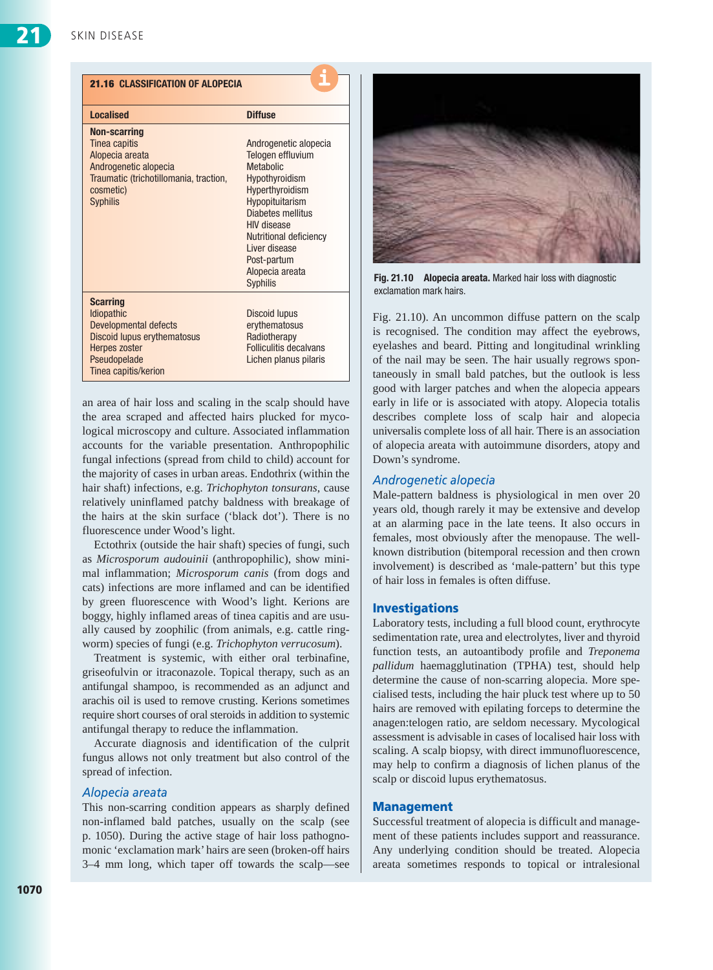| <b>21.16 CLASSIFICATION OF ALOPECIA</b>                                                                                                                             |                                                                                                                                                                                                                                                                    |
|---------------------------------------------------------------------------------------------------------------------------------------------------------------------|--------------------------------------------------------------------------------------------------------------------------------------------------------------------------------------------------------------------------------------------------------------------|
| <b>Localised</b>                                                                                                                                                    | <b>Diffuse</b>                                                                                                                                                                                                                                                     |
| <b>Non-scarring</b><br><b>Tinea capitis</b><br>Alopecia areata<br>Androgenetic alopecia<br>Traumatic (trichotillomania, traction,<br>cosmetic)<br><b>Syphilis</b>   | Androgenetic alopecia<br>Telogen effluvium<br><b>Metabolic</b><br>Hypothyroidism<br>Hyperthyroidism<br>Hypopituitarism<br>Diabetes mellitus<br><b>HIV disease</b><br>Nutritional deficiency<br>I iver disease<br>Post-partum<br>Alopecia areata<br><b>Syphilis</b> |
| <b>Scarring</b><br><b>Idiopathic</b><br><b>Developmental defects</b><br>Discoid lupus erythematosus<br><b>Herpes zoster</b><br>Pseudopelade<br>Tinea capitis/kerion | Discoid lupus<br>erythematosus<br>Radiotherapy<br><b>Folliculitis decalvans</b><br>Lichen planus pilaris                                                                                                                                                           |

an area of hair loss and scaling in the scalp should have the area scraped and affected hairs plucked for mycological microscopy and culture. Associated inflammation accounts for the variable presentation. Anthropophilic fungal infections (spread from child to child) account for the majority of cases in urban areas. Endothrix (within the hair shaft) infections, e.g. *Trichophyton tonsurans*, cause relatively uninflamed patchy baldness with breakage of the hairs at the skin surface ('black dot'). There is no fluorescence under Wood's light.

Ectothrix (outside the hair shaft) species of fungi, such as *Microsporum audouinii* (anthropophilic), show minimal inflammation; *Microsporum canis* (from dogs and cats) infections are more inflamed and can be identified by green fluorescence with Wood's light. Kerions are boggy, highly inflamed areas of tinea capitis and are usually caused by zoophilic (from animals, e.g. cattle ringworm) species of fungi (e.g. *Trichophyton verrucosum*).

Treatment is systemic, with either oral terbinafine, griseofulvin or itraconazole. Topical therapy, such as an antifungal shampoo, is recommended as an adjunct and arachis oil is used to remove crusting. Kerions sometimes require short courses of oral steroids in addition to systemic antifungal therapy to reduce the inflammation.

Accurate diagnosis and identification of the culprit fungus allows not only treatment but also control of the spread of infection.

### *Alopecia areata*

This non-scarring condition appears as sharply defined non-inflamed bald patches, usually on the scalp (see p. 1050). During the active stage of hair loss pathognomonic 'exclamation mark' hairs are seen (broken-off hairs 3–4 mm long, which taper off towards the scalp—see



**Fig. 21.10 Alopecia areata.** Marked hair loss with diagnostic exclamation mark hairs.

Fig. 21.10). An uncommon diffuse pattern on the scalp is recognised. The condition may affect the eyebrows, eyelashes and beard. Pitting and longitudinal wrinkling of the nail may be seen. The hair usually regrows spontaneously in small bald patches, but the outlook is less good with larger patches and when the alopecia appears early in life or is associated with atopy. Alopecia totalis describes complete loss of scalp hair and alopecia universalis complete loss of all hair. There is an association of alopecia areata with autoimmune disorders, atopy and Down's syndrome.

## *Androgenetic alopecia*

Male-pattern baldness is physiological in men over 20 years old, though rarely it may be extensive and develop at an alarming pace in the late teens. It also occurs in females, most obviously after the menopause. The wellknown distribution (bitemporal recession and then crown involvement) is described as 'male-pattern' but this type of hair loss in females is often diffuse.

## **Investigations**

Laboratory tests, including a full blood count, erythrocyte sedimentation rate, urea and electrolytes, liver and thyroid function tests, an autoantibody profile and *Treponema pallidum* haemagglutination (TPHA) test, should help determine the cause of non-scarring alopecia. More specialised tests, including the hair pluck test where up to 50 hairs are removed with epilating forceps to determine the anagen:telogen ratio, are seldom necessary. Mycological assessment is advisable in cases of localised hair loss with scaling. A scalp biopsy, with direct immunofluorescence, may help to confirm a diagnosis of lichen planus of the scalp or discoid lupus erythematosus.

#### **Management**

Successful treatment of alopecia is difficult and management of these patients includes support and reassurance. Any underlying condition should be treated. Alopecia areata sometimes responds to topical or intralesional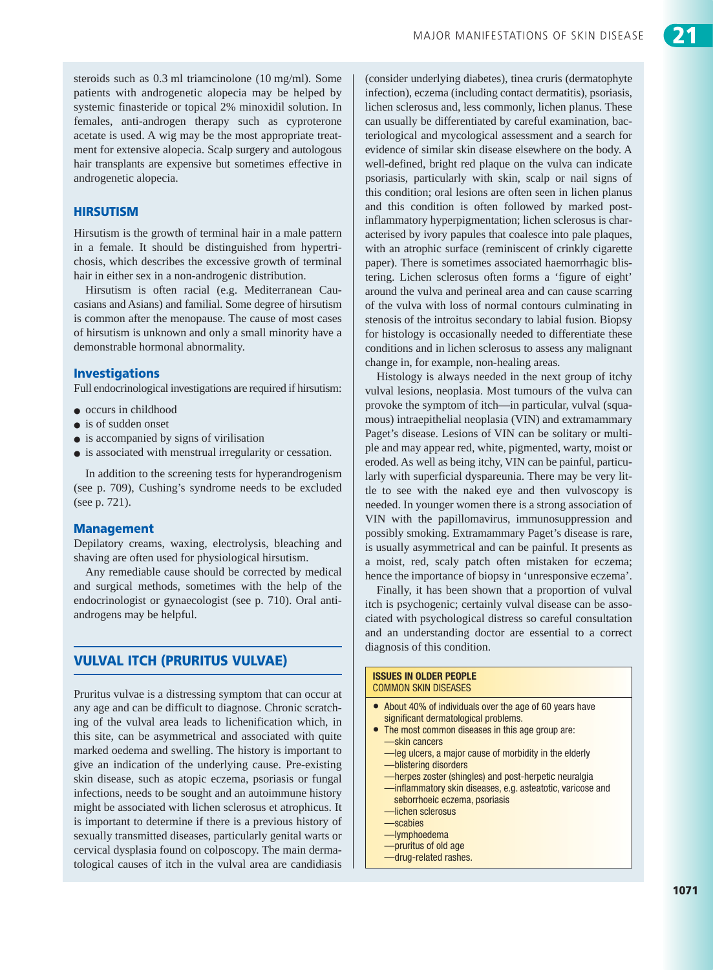steroids such as 0.3 ml triamcinolone (10 mg/ml). Some patients with androgenetic alopecia may be helped by systemic finasteride or topical 2% minoxidil solution. In females, anti-androgen therapy such as cyproterone acetate is used. A wig may be the most appropriate treatment for extensive alopecia. Scalp surgery and autologous hair transplants are expensive but sometimes effective in androgenetic alopecia.

# **HIRSUTISM**

Hirsutism is the growth of terminal hair in a male pattern in a female. It should be distinguished from hypertrichosis, which describes the excessive growth of terminal hair in either sex in a non-androgenic distribution.

Hirsutism is often racial (e.g. Mediterranean Caucasians and Asians) and familial. Some degree of hirsutism is common after the menopause. The cause of most cases of hirsutism is unknown and only a small minority have a demonstrable hormonal abnormality.

#### **Investigations**

Full endocrinological investigations are required if hirsutism:

- occurs in childhood
- is of sudden onset
- is accompanied by signs of virilisation
- is associated with menstrual irregularity or cessation.

In addition to the screening tests for hyperandrogenism (see p. 709), Cushing's syndrome needs to be excluded (see p. 721).

#### **Management**

Depilatory creams, waxing, electrolysis, bleaching and shaving are often used for physiological hirsutism.

Any remediable cause should be corrected by medical and surgical methods, sometimes with the help of the endocrinologist or gynaecologist (see p. 710). Oral antiandrogens may be helpful.

# **VULVAL ITCH (PRURITUS VULVAE)**

Pruritus vulvae is a distressing symptom that can occur at any age and can be difficult to diagnose. Chronic scratching of the vulval area leads to lichenification which, in this site, can be asymmetrical and associated with quite marked oedema and swelling. The history is important to give an indication of the underlying cause. Pre-existing skin disease, such as atopic eczema, psoriasis or fungal infections, needs to be sought and an autoimmune history might be associated with lichen sclerosus et atrophicus. It is important to determine if there is a previous history of sexually transmitted diseases, particularly genital warts or cervical dysplasia found on colposcopy. The main dermatological causes of itch in the vulval area are candidiasis

(consider underlying diabetes), tinea cruris (dermatophyte infection), eczema (including contact dermatitis), psoriasis, lichen sclerosus and, less commonly, lichen planus. These can usually be differentiated by careful examination, bacteriological and mycological assessment and a search for evidence of similar skin disease elsewhere on the body. A well-defined, bright red plaque on the vulva can indicate psoriasis, particularly with skin, scalp or nail signs of this condition; oral lesions are often seen in lichen planus and this condition is often followed by marked postinflammatory hyperpigmentation; lichen sclerosus is characterised by ivory papules that coalesce into pale plaques, with an atrophic surface (reminiscent of crinkly cigarette paper). There is sometimes associated haemorrhagic blistering. Lichen sclerosus often forms a 'figure of eight' around the vulva and perineal area and can cause scarring of the vulva with loss of normal contours culminating in stenosis of the introitus secondary to labial fusion. Biopsy for histology is occasionally needed to differentiate these conditions and in lichen sclerosus to assess any malignant change in, for example, non-healing areas.

Histology is always needed in the next group of itchy vulval lesions, neoplasia. Most tumours of the vulva can provoke the symptom of itch—in particular, vulval (squamous) intraepithelial neoplasia (VIN) and extramammary Paget's disease. Lesions of VIN can be solitary or multiple and may appear red, white, pigmented, warty, moist or eroded. As well as being itchy, VIN can be painful, particularly with superficial dyspareunia. There may be very little to see with the naked eye and then vulvoscopy is needed. In younger women there is a strong association of VIN with the papillomavirus, immunosuppression and possibly smoking. Extramammary Paget's disease is rare, is usually asymmetrical and can be painful. It presents as a moist, red, scaly patch often mistaken for eczema; hence the importance of biopsy in 'unresponsive eczema'.

Finally, it has been shown that a proportion of vulval itch is psychogenic; certainly vulval disease can be associated with psychological distress so careful consultation and an understanding doctor are essential to a correct diagnosis of this condition.

#### **ISSUES IN OLDER PEOPLE** COMMON SKIN DISEASES

- About 40% of individuals over the age of 60 years have significant dermatological problems.
- The most common diseases in this age group are: —skin cancers
	- —leg ulcers, a major cause of morbidity in the elderly —blistering disorders
	-
	- —herpes zoster (shingles) and post-herpetic neuralgia —inflammatory skin diseases, e.g. asteatotic, varicose and seborrhoeic eczema, psoriasis
	- —lichen sclerosus
	- —scabies
	- —lymphoedema
	- —pruritus of old age
	- —drug-related rashes.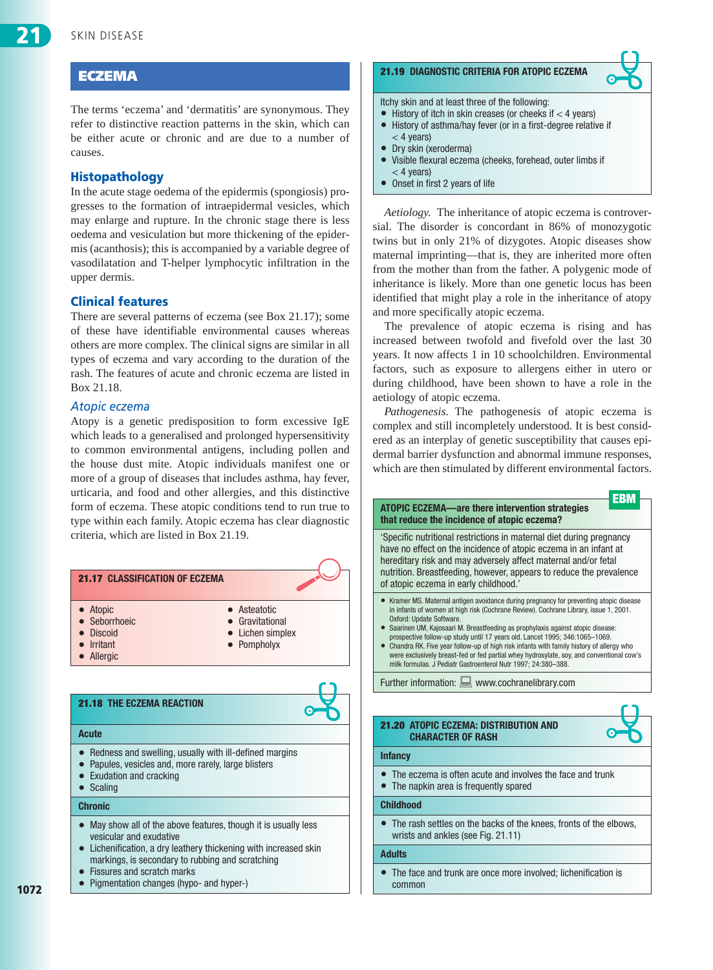# **ECZEMA**

The terms 'eczema' and 'dermatitis' are synonymous. They refer to distinctive reaction patterns in the skin, which can be either acute or chronic and are due to a number of causes.

# **Histopathology**

In the acute stage oedema of the epidermis (spongiosis) progresses to the formation of intraepidermal vesicles, which may enlarge and rupture. In the chronic stage there is less oedema and vesiculation but more thickening of the epidermis (acanthosis); this is accompanied by a variable degree of vasodilatation and T-helper lymphocytic infiltration in the upper dermis.

## **Clinical features**

There are several patterns of eczema (see Box 21.17); some of these have identifiable environmental causes whereas others are more complex. The clinical signs are similar in all types of eczema and vary according to the duration of the rash. The features of acute and chronic eczema are listed in Box 21.18.

### *Atopic eczema*

Atopy is a genetic predisposition to form excessive IgE which leads to a generalised and prolonged hypersensitivity to common environmental antigens, including pollen and the house dust mite. Atopic individuals manifest one or more of a group of diseases that includes asthma, hay fever, urticaria, and food and other allergies, and this distinctive form of eczema. These atopic conditions tend to run true to type within each family. Atopic eczema has clear diagnostic criteria, which are listed in Box 21.19.



#### **21.18 THE ECZEMA REACTION**



#### **Acute**

- Redness and swelling, usually with ill-defined margins
- Papules, vesicles and, more rarely, large blisters
- Exudation and cracking

• Scaling

#### **Chronic**

- May show all of the above features, though it is usually less vesicular and exudative
- Lichenification, a dry leathery thickening with increased skin markings, is secondary to rubbing and scratching
- Fissures and scratch marks
- Pigmentation changes (hypo- and hyper-)

## **21.19 DIAGNOSTIC CRITERIA FOR ATOPIC ECZEMA**

Itchy skin and at least three of the following:

- $\bullet$  History of itch in skin creases (or cheeks if  $<$  4 years) • History of asthma/hay fever (or in a first-degree relative if < 4 years)
- Dry skin (xeroderma)
- Visible flexural eczema (cheeks, forehead, outer limbs if
- < 4 years)
- Onset in first 2 years of life

*Aetiology.* The inheritance of atopic eczema is controversial. The disorder is concordant in 86% of monozygotic twins but in only 21% of dizygotes. Atopic diseases show maternal imprinting—that is, they are inherited more often from the mother than from the father. A polygenic mode of inheritance is likely. More than one genetic locus has been identified that might play a role in the inheritance of atopy and more specifically atopic eczema.

The prevalence of atopic eczema is rising and has increased between twofold and fivefold over the last 30 years. It now affects 1 in 10 schoolchildren. Environmental factors, such as exposure to allergens either in utero or during childhood, have been shown to have a role in the aetiology of atopic eczema.

*Pathogenesis.* The pathogenesis of atopic eczema is complex and still incompletely understood. It is best considered as an interplay of genetic susceptibility that causes epidermal barrier dysfunction and abnormal immune responses, which are then stimulated by different environmental factors.



#### **Adults**

• The face and trunk are once more involved; lichenification is common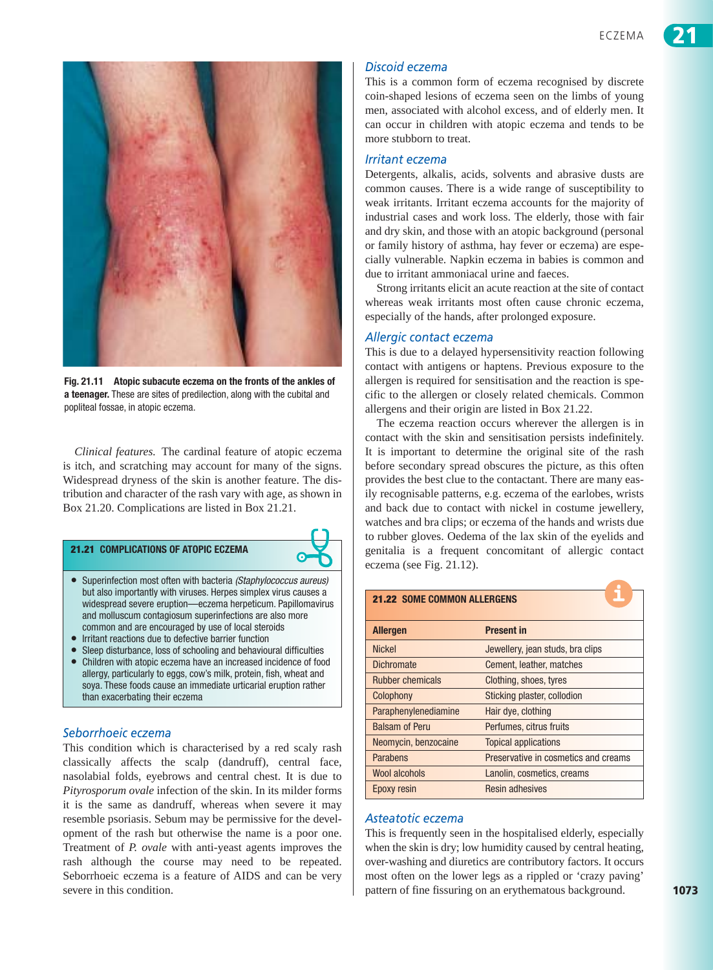

**Fig. 21.11 Atopic subacute eczema on the fronts of the ankles of a teenager.** These are sites of predilection, along with the cubital and popliteal fossae, in atopic eczema.

*Clinical features.* The cardinal feature of atopic eczema is itch, and scratching may account for many of the signs. Widespread dryness of the skin is another feature. The distribution and character of the rash vary with age, as shown in Box 21.20. Complications are listed in Box 21.21.

## **21.21 COMPLICATIONS OF ATOPIC ECZEMA**



- Superinfection most often with bacteria *(Staphylococcus aureus)* but also importantly with viruses. Herpes simplex virus causes a widespread severe eruption—eczema herpeticum. Papillomavirus and molluscum contagiosum superinfections are also more common and are encouraged by use of local steroids
- Irritant reactions due to defective barrier function
- Sleep disturbance, loss of schooling and behavioural difficulties
- Children with atopic eczema have an increased incidence of food allergy, particularly to eggs, cow's milk, protein, fish, wheat and soya. These foods cause an immediate urticarial eruption rather than exacerbating their eczema

# *Seborrhoeic eczema*

This condition which is characterised by a red scaly rash classically affects the scalp (dandruff), central face, nasolabial folds, eyebrows and central chest. It is due to *Pityrosporum ovale* infection of the skin. In its milder forms it is the same as dandruff, whereas when severe it may resemble psoriasis. Sebum may be permissive for the development of the rash but otherwise the name is a poor one. Treatment of *P. ovale* with anti-yeast agents improves the rash although the course may need to be repeated. Seborrhoeic eczema is a feature of AIDS and can be very severe in this condition.

# *Discoid eczema*

This is a common form of eczema recognised by discrete coin-shaped lesions of eczema seen on the limbs of young men, associated with alcohol excess, and of elderly men. It can occur in children with atopic eczema and tends to be more stubborn to treat.

## *Irritant eczema*

Detergents, alkalis, acids, solvents and abrasive dusts are common causes. There is a wide range of susceptibility to weak irritants. Irritant eczema accounts for the majority of industrial cases and work loss. The elderly, those with fair and dry skin, and those with an atopic background (personal or family history of asthma, hay fever or eczema) are especially vulnerable. Napkin eczema in babies is common and due to irritant ammoniacal urine and faeces.

Strong irritants elicit an acute reaction at the site of contact whereas weak irritants most often cause chronic eczema, especially of the hands, after prolonged exposure.

## *Allergic contact eczema*

This is due to a delayed hypersensitivity reaction following contact with antigens or haptens. Previous exposure to the allergen is required for sensitisation and the reaction is specific to the allergen or closely related chemicals. Common allergens and their origin are listed in Box 21.22.

The eczema reaction occurs wherever the allergen is in contact with the skin and sensitisation persists indefinitely. It is important to determine the original site of the rash before secondary spread obscures the picture, as this often provides the best clue to the contactant. There are many easily recognisable patterns, e.g. eczema of the earlobes, wrists and back due to contact with nickel in costume jewellery, watches and bra clips; or eczema of the hands and wrists due to rubber gloves. Oedema of the lax skin of the eyelids and genitalia is a frequent concomitant of allergic contact eczema (see Fig. 21.12).

| <b>21.22 SOME COMMON ALLERGENS</b> |                                      |  |
|------------------------------------|--------------------------------------|--|
| <b>Allergen</b>                    | <b>Present in</b>                    |  |
| <b>Nickel</b>                      | Jewellery, jean studs, bra clips     |  |
| <b>Dichromate</b>                  | Cement, leather, matches             |  |
| <b>Rubber chemicals</b>            | Clothing, shoes, tyres               |  |
| Colophony                          | Sticking plaster, collodion          |  |
| Paraphenylenediamine               | Hair dye, clothing                   |  |
| <b>Balsam of Peru</b>              | Perfumes, citrus fruits              |  |
| Neomycin, benzocaine               | <b>Topical applications</b>          |  |
| Parabens                           | Preservative in cosmetics and creams |  |
| Wool alcohols                      | Lanolin, cosmetics, creams           |  |
| Epoxy resin                        | <b>Resin adhesives</b>               |  |

#### *Asteatotic eczema*

This is frequently seen in the hospitalised elderly, especially when the skin is dry; low humidity caused by central heating, over-washing and diuretics are contributory factors. It occurs most often on the lower legs as a rippled or 'crazy paving' pattern of fine fissuring on an erythematous background.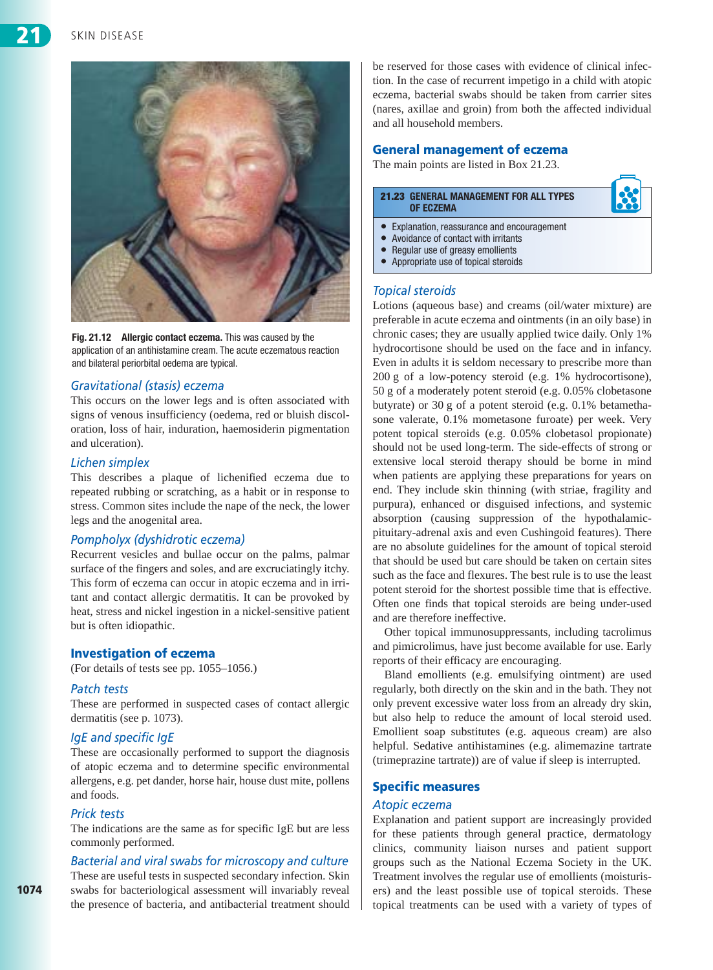

**Fig. 21.12 Allergic contact eczema.** This was caused by the application of an antihistamine cream. The acute eczematous reaction and bilateral periorbital oedema are typical.

#### *Gravitational (stasis) eczema*

This occurs on the lower legs and is often associated with signs of venous insufficiency (oedema, red or bluish discoloration, loss of hair, induration, haemosiderin pigmentation and ulceration).

#### *Lichen simplex*

This describes a plaque of lichenified eczema due to repeated rubbing or scratching, as a habit or in response to stress. Common sites include the nape of the neck, the lower legs and the anogenital area.

#### *Pompholyx (dyshidrotic eczema)*

Recurrent vesicles and bullae occur on the palms, palmar surface of the fingers and soles, and are excruciatingly itchy. This form of eczema can occur in atopic eczema and in irritant and contact allergic dermatitis. It can be provoked by heat, stress and nickel ingestion in a nickel-sensitive patient but is often idiopathic.

#### **Investigation of eczema**

(For details of tests see pp. 1055–1056.)

#### *Patch tests*

These are performed in suspected cases of contact allergic dermatitis (see p. 1073).

#### *IgE and specific IgE*

These are occasionally performed to support the diagnosis of atopic eczema and to determine specific environmental allergens, e.g. pet dander, horse hair, house dust mite, pollens and foods.

#### *Prick tests*

The indications are the same as for specific IgE but are less commonly performed.

#### *Bacterial and viral swabs for microscopy and culture*

These are useful tests in suspected secondary infection. Skin swabs for bacteriological assessment will invariably reveal the presence of bacteria, and antibacterial treatment should be reserved for those cases with evidence of clinical infection. In the case of recurrent impetigo in a child with atopic eczema, bacterial swabs should be taken from carrier sites (nares, axillae and groin) from both the affected individual and all household members.

# **General management of eczema**

The main points are listed in Box 21.23.



- Explanation, reassurance and encouragement
- Avoidance of contact with irritants
- Regular use of greasy emollients
- Appropriate use of topical steroids

#### *Topical steroids*

Lotions (aqueous base) and creams (oil/water mixture) are preferable in acute eczema and ointments (in an oily base) in chronic cases; they are usually applied twice daily. Only 1% hydrocortisone should be used on the face and in infancy. Even in adults it is seldom necessary to prescribe more than 200 g of a low-potency steroid (e.g. 1% hydrocortisone), 50 g of a moderately potent steroid (e.g. 0.05% clobetasone butyrate) or 30 g of a potent steroid (e.g. 0.1% betamethasone valerate, 0.1% mometasone furoate) per week. Very potent topical steroids (e.g. 0.05% clobetasol propionate) should not be used long-term. The side-effects of strong or extensive local steroid therapy should be borne in mind when patients are applying these preparations for years on end. They include skin thinning (with striae, fragility and purpura), enhanced or disguised infections, and systemic absorption (causing suppression of the hypothalamicpituitary-adrenal axis and even Cushingoid features). There are no absolute guidelines for the amount of topical steroid that should be used but care should be taken on certain sites such as the face and flexures. The best rule is to use the least potent steroid for the shortest possible time that is effective. Often one finds that topical steroids are being under-used and are therefore ineffective.

Other topical immunosuppressants, including tacrolimus and pimicrolimus, have just become available for use. Early reports of their efficacy are encouraging.

Bland emollients (e.g. emulsifying ointment) are used regularly, both directly on the skin and in the bath. They not only prevent excessive water loss from an already dry skin, but also help to reduce the amount of local steroid used. Emollient soap substitutes (e.g. aqueous cream) are also helpful. Sedative antihistamines (e.g. alimemazine tartrate (trimeprazine tartrate)) are of value if sleep is interrupted.

# **Specific measures**

#### *Atopic eczema*

Explanation and patient support are increasingly provided for these patients through general practice, dermatology clinics, community liaison nurses and patient support groups such as the National Eczema Society in the UK. Treatment involves the regular use of emollients (moisturisers) and the least possible use of topical steroids. These topical treatments can be used with a variety of types of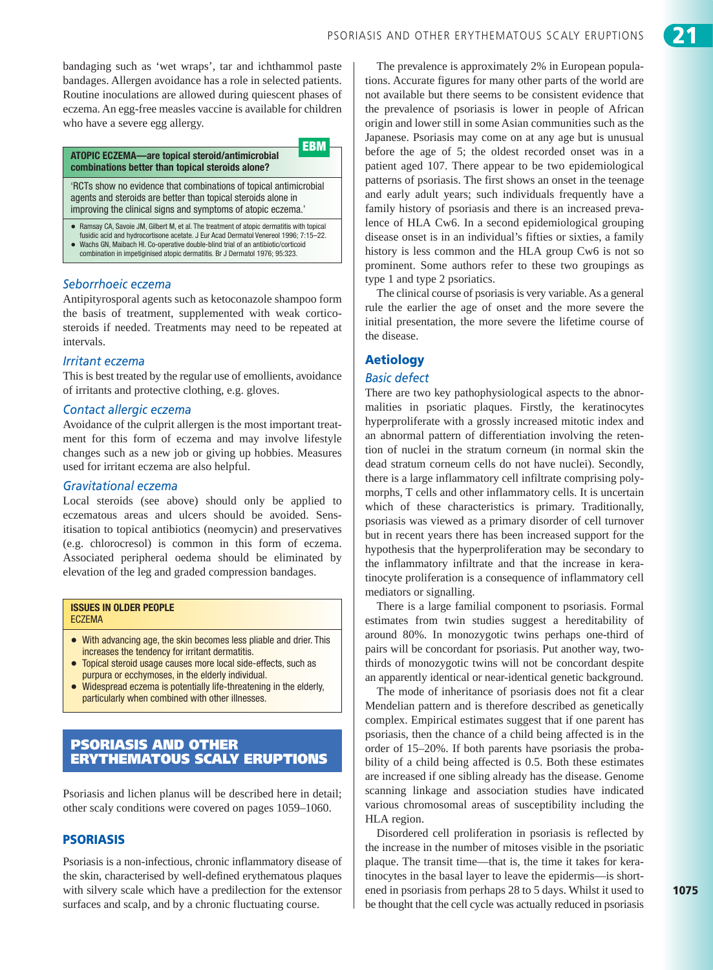bandaging such as 'wet wraps', tar and ichthammol paste bandages. Allergen avoidance has a role in selected patients. Routine inoculations are allowed during quiescent phases of eczema. An egg-free measles vaccine is available for children who have a severe egg allergy.

**ATOPIC ECZEMA—are topical steroid/antimicrobial combinations better than topical steroids alone?** 'RCTs show no evidence that combinations of topical antimicrobial agents and steroids are better than topical steroids alone in **EBM**

improving the clinical signs and symptoms of atopic eczema.'

• Ramsay CA, Savoie JM, Gilbert M, et al. The treatment of atopic dermatitis with topical fusidic acid and hydrocortisone acetate. J Eur Acad Dermatol Venereol 1996; 7:15–22. • Wachs GN, Maibach HI. Co-operative double-blind trial of an antibiotic/corticoid combination in impetiginised atopic dermatitis. Br J Dermatol 1976; 95:323.

#### *Seborrhoeic eczema*

Antipityrosporal agents such as ketoconazole shampoo form the basis of treatment, supplemented with weak corticosteroids if needed. Treatments may need to be repeated at intervals.

#### *Irritant eczema*

This is best treated by the regular use of emollients, avoidance of irritants and protective clothing, e.g. gloves.

#### *Contact allergic eczema*

Avoidance of the culprit allergen is the most important treatment for this form of eczema and may involve lifestyle changes such as a new job or giving up hobbies. Measures used for irritant eczema are also helpful.

#### *Gravitational eczema*

Local steroids (see above) should only be applied to eczematous areas and ulcers should be avoided. Sensitisation to topical antibiotics (neomycin) and preservatives (e.g. chlorocresol) is common in this form of eczema. Associated peripheral oedema should be eliminated by elevation of the leg and graded compression bandages.

#### **ISSUES IN OLDER PEOPLE FCZEMA**

- With advancing age, the skin becomes less pliable and drier. This increases the tendency for irritant dermatitis.
- Topical steroid usage causes more local side-effects, such as purpura or ecchymoses, in the elderly individual.
- Widespread eczema is potentially life-threatening in the elderly, particularly when combined with other illnesses.

# **PSORIASIS AND OTHER ERYTHEMATOUS SCALY ERUPTIONS**

Psoriasis and lichen planus will be described here in detail; other scaly conditions were covered on pages 1059–1060.

## **PSORIASIS**

Psoriasis is a non-infectious, chronic inflammatory disease of the skin, characterised by well-defined erythematous plaques with silvery scale which have a predilection for the extensor surfaces and scalp, and by a chronic fluctuating course.

The prevalence is approximately 2% in European populations. Accurate figures for many other parts of the world are not available but there seems to be consistent evidence that the prevalence of psoriasis is lower in people of African origin and lower still in some Asian communities such as the Japanese. Psoriasis may come on at any age but is unusual before the age of 5; the oldest recorded onset was in a patient aged 107. There appear to be two epidemiological patterns of psoriasis. The first shows an onset in the teenage and early adult years; such individuals frequently have a family history of psoriasis and there is an increased prevalence of HLA Cw6. In a second epidemiological grouping disease onset is in an individual's fifties or sixties, a family history is less common and the HLA group Cw6 is not so prominent. Some authors refer to these two groupings as type 1 and type 2 psoriatics.

The clinical course of psoriasis is very variable. As a general rule the earlier the age of onset and the more severe the initial presentation, the more severe the lifetime course of the disease.

# **Aetiology**

## *Basic defect*

There are two key pathophysiological aspects to the abnormalities in psoriatic plaques. Firstly, the keratinocytes hyperproliferate with a grossly increased mitotic index and an abnormal pattern of differentiation involving the retention of nuclei in the stratum corneum (in normal skin the dead stratum corneum cells do not have nuclei). Secondly, there is a large inflammatory cell infiltrate comprising polymorphs, T cells and other inflammatory cells. It is uncertain which of these characteristics is primary. Traditionally, psoriasis was viewed as a primary disorder of cell turnover but in recent years there has been increased support for the hypothesis that the hyperproliferation may be secondary to the inflammatory infiltrate and that the increase in keratinocyte proliferation is a consequence of inflammatory cell mediators or signalling.

There is a large familial component to psoriasis. Formal estimates from twin studies suggest a hereditability of around 80%. In monozygotic twins perhaps one-third of pairs will be concordant for psoriasis. Put another way, twothirds of monozygotic twins will not be concordant despite an apparently identical or near-identical genetic background.

The mode of inheritance of psoriasis does not fit a clear Mendelian pattern and is therefore described as genetically complex. Empirical estimates suggest that if one parent has psoriasis, then the chance of a child being affected is in the order of 15–20%. If both parents have psoriasis the probability of a child being affected is 0.5. Both these estimates are increased if one sibling already has the disease. Genome scanning linkage and association studies have indicated various chromosomal areas of susceptibility including the HLA region.

Disordered cell proliferation in psoriasis is reflected by the increase in the number of mitoses visible in the psoriatic plaque. The transit time—that is, the time it takes for keratinocytes in the basal layer to leave the epidermis—is shortened in psoriasis from perhaps 28 to 5 days. Whilst it used to be thought that the cell cycle was actually reduced in psoriasis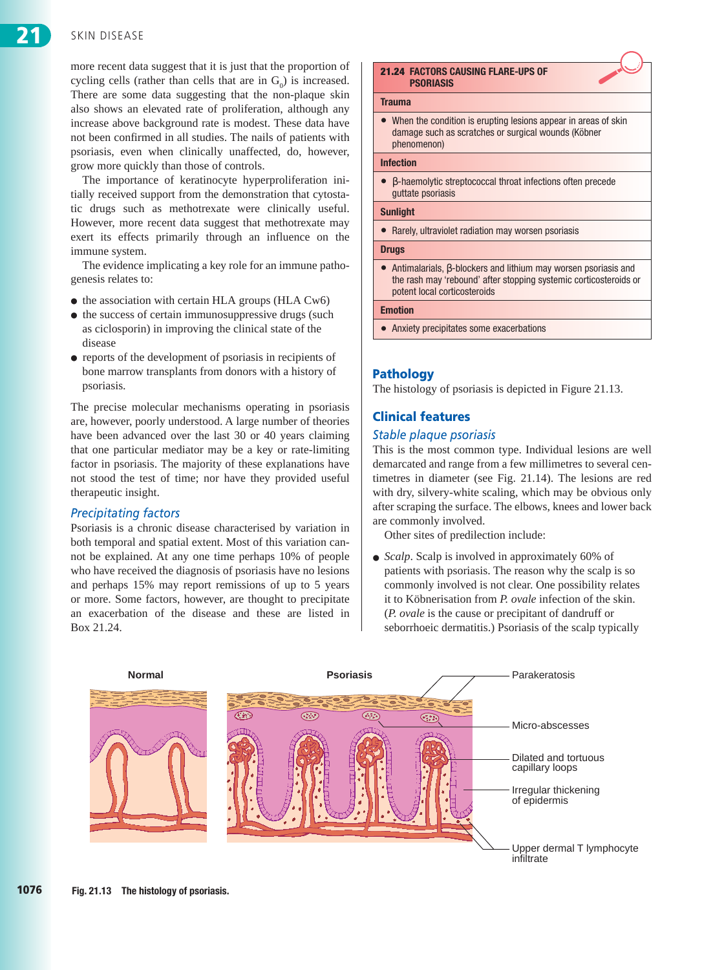more recent data suggest that it is just that the proportion of cycling cells (rather than cells that are in  $G_0$ ) is increased. There are some data suggesting that the non-plaque skin also shows an elevated rate of proliferation, although any increase above background rate is modest. These data have not been confirmed in all studies. The nails of patients with psoriasis, even when clinically unaffected, do, however, grow more quickly than those of controls.

The importance of keratinocyte hyperproliferation initially received support from the demonstration that cytostatic drugs such as methotrexate were clinically useful. However, more recent data suggest that methotrexate may exert its effects primarily through an influence on the immune system.

The evidence implicating a key role for an immune pathogenesis relates to:

- the association with certain HLA groups (HLA Cw6)
- the success of certain immunosuppressive drugs (such as ciclosporin) in improving the clinical state of the disease
- reports of the development of psoriasis in recipients of bone marrow transplants from donors with a history of psoriasis.

The precise molecular mechanisms operating in psoriasis are, however, poorly understood. A large number of theories have been advanced over the last 30 or 40 years claiming that one particular mediator may be a key or rate-limiting factor in psoriasis. The majority of these explanations have not stood the test of time; nor have they provided useful therapeutic insight.

### *Precipitating factors*

Psoriasis is a chronic disease characterised by variation in both temporal and spatial extent. Most of this variation cannot be explained. At any one time perhaps 10% of people who have received the diagnosis of psoriasis have no lesions and perhaps 15% may report remissions of up to 5 years or more. Some factors, however, are thought to precipitate an exacerbation of the disease and these are listed in Box 21.24.

#### **21.24 FACTORS CAUSING FLARE-UPS OF PSORIASIS**

#### **Trauma**

• When the condition is erupting lesions appear in areas of skin damage such as scratches or surgical wounds (Köbner phenomenon)

#### **Infection**

• β-haemolytic streptococcal throat infections often precede guttate psoriasis

#### **Sunlight**

• Rarely, ultraviolet radiation may worsen psoriasis

#### **Drugs**

• Antimalarials, β-blockers and lithium may worsen psoriasis and the rash may 'rebound' after stopping systemic corticosteroids or potent local corticosteroids

#### **Emotion**

• Anxiety precipitates some exacerbations

## **Pathology**

The histology of psoriasis is depicted in Figure 21.13.

## **Clinical features**

## *Stable plaque psoriasis*

This is the most common type. Individual lesions are well demarcated and range from a few millimetres to several centimetres in diameter (see Fig. 21.14). The lesions are red with dry, silvery-white scaling, which may be obvious only after scraping the surface. The elbows, knees and lower back are commonly involved.

Other sites of predilection include:

● *Scalp*. Scalp is involved in approximately 60% of patients with psoriasis. The reason why the scalp is so commonly involved is not clear. One possibility relates it to Köbnerisation from *P. ovale* infection of the skin. (*P. ovale* is the cause or precipitant of dandruff or seborrhoeic dermatitis.) Psoriasis of the scalp typically

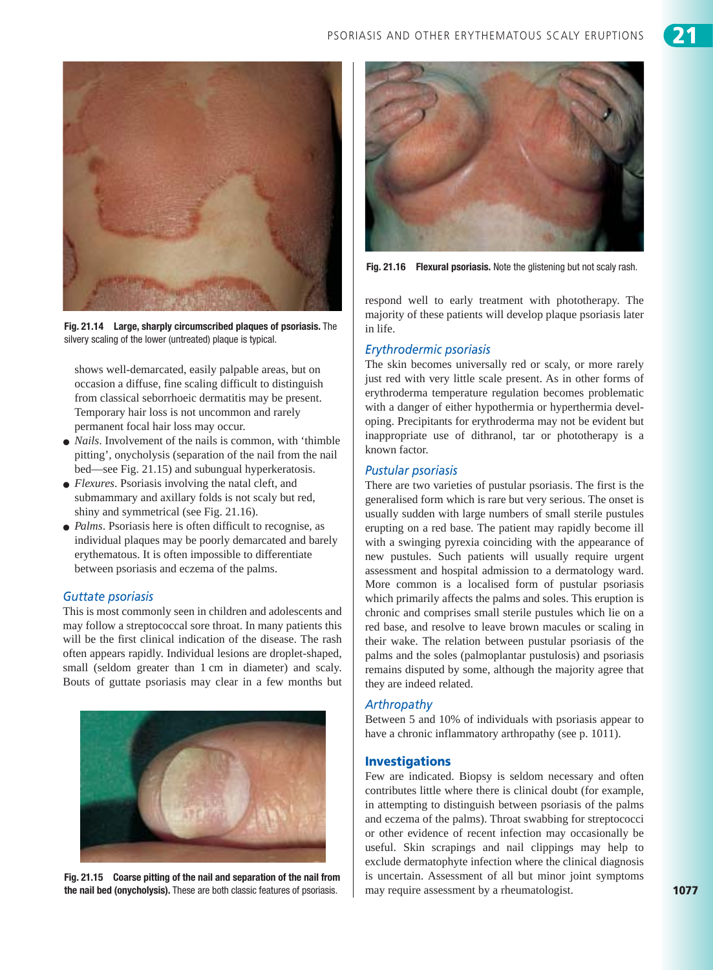

**Fig. 21.14 Large, sharply circumscribed plaques of psoriasis.** The silvery scaling of the lower (untreated) plaque is typical.

shows well-demarcated, easily palpable areas, but on occasion a diffuse, fine scaling difficult to distinguish from classical seborrhoeic dermatitis may be present. Temporary hair loss is not uncommon and rarely permanent focal hair loss may occur.

- *Nails*. Involvement of the nails is common, with 'thimble pitting', onycholysis (separation of the nail from the nail bed—see Fig. 21.15) and subungual hyperkeratosis.
- *Flexures*. Psoriasis involving the natal cleft, and submammary and axillary folds is not scaly but red, shiny and symmetrical (see Fig. 21.16).
- *Palms*. Psoriasis here is often difficult to recognise, as individual plaques may be poorly demarcated and barely erythematous. It is often impossible to differentiate between psoriasis and eczema of the palms.

### *Guttate psoriasis*

This is most commonly seen in children and adolescents and may follow a streptococcal sore throat. In many patients this will be the first clinical indication of the disease. The rash often appears rapidly. Individual lesions are droplet-shaped, small (seldom greater than 1 cm in diameter) and scaly. Bouts of guttate psoriasis may clear in a few months but



**Fig. 21.15 Coarse pitting of the nail and separation of the nail from the nail bed (onycholysis).** These are both classic features of psoriasis.



**Fig. 21.16 Flexural psoriasis.** Note the glistening but not scaly rash.

respond well to early treatment with phototherapy. The majority of these patients will develop plaque psoriasis later in life.

#### *Erythrodermic psoriasis*

The skin becomes universally red or scaly, or more rarely just red with very little scale present. As in other forms of erythroderma temperature regulation becomes problematic with a danger of either hypothermia or hyperthermia developing. Precipitants for erythroderma may not be evident but inappropriate use of dithranol, tar or phototherapy is a known factor.

#### *Pustular psoriasis*

There are two varieties of pustular psoriasis. The first is the generalised form which is rare but very serious. The onset is usually sudden with large numbers of small sterile pustules erupting on a red base. The patient may rapidly become ill with a swinging pyrexia coinciding with the appearance of new pustules. Such patients will usually require urgent assessment and hospital admission to a dermatology ward. More common is a localised form of pustular psoriasis which primarily affects the palms and soles. This eruption is chronic and comprises small sterile pustules which lie on a red base, and resolve to leave brown macules or scaling in their wake. The relation between pustular psoriasis of the palms and the soles (palmoplantar pustulosis) and psoriasis remains disputed by some, although the majority agree that they are indeed related.

# *Arthropathy*

Between 5 and 10% of individuals with psoriasis appear to have a chronic inflammatory arthropathy (see p. 1011).

## **Investigations**

Few are indicated. Biopsy is seldom necessary and often contributes little where there is clinical doubt (for example, in attempting to distinguish between psoriasis of the palms and eczema of the palms). Throat swabbing for streptococci or other evidence of recent infection may occasionally be useful. Skin scrapings and nail clippings may help to exclude dermatophyte infection where the clinical diagnosis is uncertain. Assessment of all but minor joint symptoms may require assessment by a rheumatologist.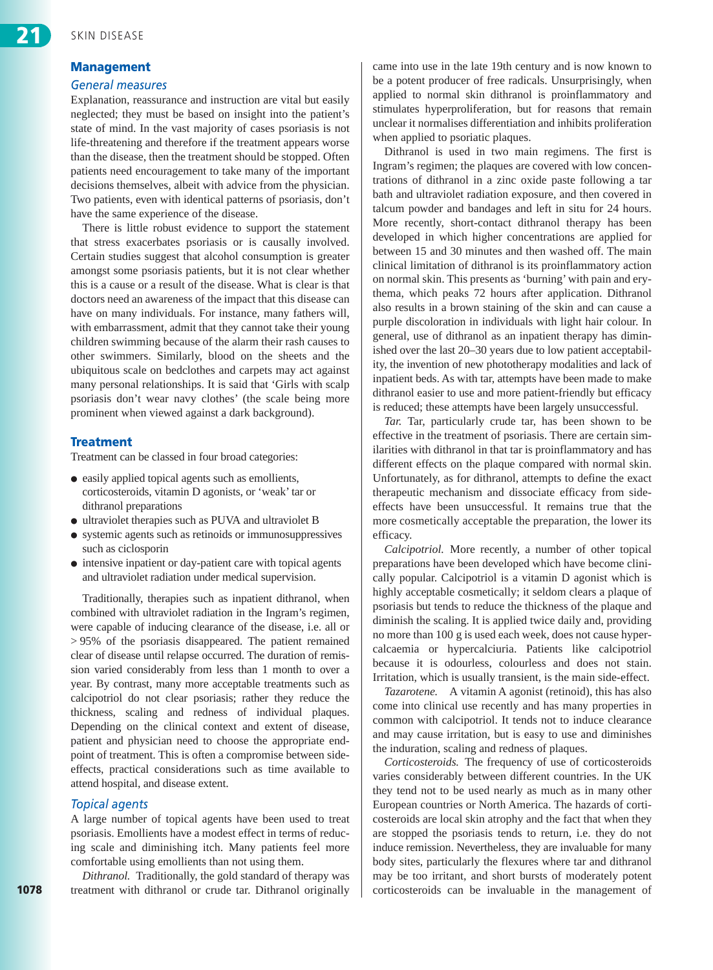# **Management**

#### *General measures*

Explanation, reassurance and instruction are vital but easily neglected; they must be based on insight into the patient's state of mind. In the vast majority of cases psoriasis is not life-threatening and therefore if the treatment appears worse than the disease, then the treatment should be stopped. Often patients need encouragement to take many of the important decisions themselves, albeit with advice from the physician. Two patients, even with identical patterns of psoriasis, don't have the same experience of the disease.

There is little robust evidence to support the statement that stress exacerbates psoriasis or is causally involved. Certain studies suggest that alcohol consumption is greater amongst some psoriasis patients, but it is not clear whether this is a cause or a result of the disease. What is clear is that doctors need an awareness of the impact that this disease can have on many individuals. For instance, many fathers will, with embarrassment, admit that they cannot take their young children swimming because of the alarm their rash causes to other swimmers. Similarly, blood on the sheets and the ubiquitous scale on bedclothes and carpets may act against many personal relationships. It is said that 'Girls with scalp psoriasis don't wear navy clothes' (the scale being more prominent when viewed against a dark background).

#### **Treatment**

Treatment can be classed in four broad categories:

- easily applied topical agents such as emollients, corticosteroids, vitamin D agonists, or 'weak' tar or dithranol preparations
- ultraviolet therapies such as PUVA and ultraviolet B
- systemic agents such as retinoids or immunosuppressives such as ciclosporin
- intensive inpatient or day-patient care with topical agents and ultraviolet radiation under medical supervision.

Traditionally, therapies such as inpatient dithranol, when combined with ultraviolet radiation in the Ingram's regimen, were capable of inducing clearance of the disease, i.e. all or > 95% of the psoriasis disappeared. The patient remained clear of disease until relapse occurred. The duration of remission varied considerably from less than 1 month to over a year. By contrast, many more acceptable treatments such as calcipotriol do not clear psoriasis; rather they reduce the thickness, scaling and redness of individual plaques. Depending on the clinical context and extent of disease, patient and physician need to choose the appropriate endpoint of treatment. This is often a compromise between sideeffects, practical considerations such as time available to attend hospital, and disease extent.

#### *Topical agents*

A large number of topical agents have been used to treat psoriasis. Emollients have a modest effect in terms of reducing scale and diminishing itch. Many patients feel more comfortable using emollients than not using them.

*Dithranol.* Traditionally, the gold standard of therapy was treatment with dithranol or crude tar. Dithranol originally came into use in the late 19th century and is now known to be a potent producer of free radicals. Unsurprisingly, when applied to normal skin dithranol is proinflammatory and stimulates hyperproliferation, but for reasons that remain unclear it normalises differentiation and inhibits proliferation when applied to psoriatic plaques.

Dithranol is used in two main regimens. The first is Ingram's regimen; the plaques are covered with low concentrations of dithranol in a zinc oxide paste following a tar bath and ultraviolet radiation exposure, and then covered in talcum powder and bandages and left in situ for 24 hours. More recently, short-contact dithranol therapy has been developed in which higher concentrations are applied for between 15 and 30 minutes and then washed off. The main clinical limitation of dithranol is its proinflammatory action on normal skin. This presents as 'burning' with pain and erythema, which peaks 72 hours after application. Dithranol also results in a brown staining of the skin and can cause a purple discoloration in individuals with light hair colour. In general, use of dithranol as an inpatient therapy has diminished over the last 20–30 years due to low patient acceptability, the invention of new phototherapy modalities and lack of inpatient beds. As with tar, attempts have been made to make dithranol easier to use and more patient-friendly but efficacy is reduced; these attempts have been largely unsuccessful.

*Tar.* Tar, particularly crude tar, has been shown to be effective in the treatment of psoriasis. There are certain similarities with dithranol in that tar is proinflammatory and has different effects on the plaque compared with normal skin. Unfortunately, as for dithranol, attempts to define the exact therapeutic mechanism and dissociate efficacy from sideeffects have been unsuccessful. It remains true that the more cosmetically acceptable the preparation, the lower its efficacy.

*Calcipotriol.* More recently, a number of other topical preparations have been developed which have become clinically popular. Calcipotriol is a vitamin D agonist which is highly acceptable cosmetically; it seldom clears a plaque of psoriasis but tends to reduce the thickness of the plaque and diminish the scaling. It is applied twice daily and, providing no more than 100 g is used each week, does not cause hypercalcaemia or hypercalciuria. Patients like calcipotriol because it is odourless, colourless and does not stain. Irritation, which is usually transient, is the main side-effect.

*Tazarotene.* A vitamin A agonist (retinoid), this has also come into clinical use recently and has many properties in common with calcipotriol. It tends not to induce clearance and may cause irritation, but is easy to use and diminishes the induration, scaling and redness of plaques.

*Corticosteroids.* The frequency of use of corticosteroids varies considerably between different countries. In the UK they tend not to be used nearly as much as in many other European countries or North America. The hazards of corticosteroids are local skin atrophy and the fact that when they are stopped the psoriasis tends to return, i.e. they do not induce remission. Nevertheless, they are invaluable for many body sites, particularly the flexures where tar and dithranol may be too irritant, and short bursts of moderately potent corticosteroids can be invaluable in the management of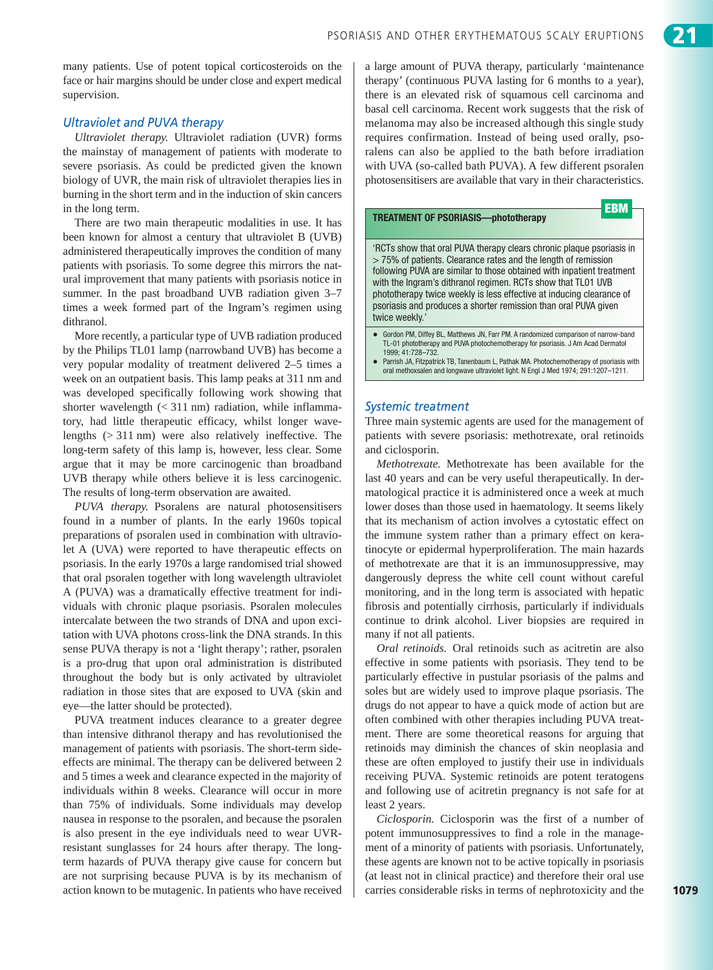#### *Ultraviolet and PUVA therapy*

*Ultraviolet therapy.* Ultraviolet radiation (UVR) forms the mainstay of management of patients with moderate to severe psoriasis. As could be predicted given the known biology of UVR, the main risk of ultraviolet therapies lies in burning in the short term and in the induction of skin cancers in the long term.

There are two main therapeutic modalities in use. It has been known for almost a century that ultraviolet B (UVB) administered therapeutically improves the condition of many patients with psoriasis. To some degree this mirrors the natural improvement that many patients with psoriasis notice in summer. In the past broadband UVB radiation given 3–7 times a week formed part of the Ingram's regimen using dithranol.

More recently, a particular type of UVB radiation produced by the Philips TL01 lamp (narrowband UVB) has become a very popular modality of treatment delivered 2–5 times a week on an outpatient basis. This lamp peaks at 311 nm and was developed specifically following work showing that shorter wavelength  $(< 311$  nm) radiation, while inflammatory, had little therapeutic efficacy, whilst longer wavelengths (> 311 nm) were also relatively ineffective. The long-term safety of this lamp is, however, less clear. Some argue that it may be more carcinogenic than broadband UVB therapy while others believe it is less carcinogenic. The results of long-term observation are awaited.

*PUVA therapy.* Psoralens are natural photosensitisers found in a number of plants. In the early 1960s topical preparations of psoralen used in combination with ultraviolet A (UVA) were reported to have therapeutic effects on psoriasis. In the early 1970s a large randomised trial showed that oral psoralen together with long wavelength ultraviolet A (PUVA) was a dramatically effective treatment for individuals with chronic plaque psoriasis. Psoralen molecules intercalate between the two strands of DNA and upon excitation with UVA photons cross-link the DNA strands. In this sense PUVA therapy is not a 'light therapy'; rather, psoralen is a pro-drug that upon oral administration is distributed throughout the body but is only activated by ultraviolet radiation in those sites that are exposed to UVA (skin and eye—the latter should be protected).

PUVA treatment induces clearance to a greater degree than intensive dithranol therapy and has revolutionised the management of patients with psoriasis. The short-term sideeffects are minimal. The therapy can be delivered between 2 and 5 times a week and clearance expected in the majority of individuals within 8 weeks. Clearance will occur in more than 75% of individuals. Some individuals may develop nausea in response to the psoralen, and because the psoralen is also present in the eye individuals need to wear UVRresistant sunglasses for 24 hours after therapy. The longterm hazards of PUVA therapy give cause for concern but are not surprising because PUVA is by its mechanism of action known to be mutagenic. In patients who have received

a large amount of PUVA therapy, particularly 'maintenance therapy' (continuous PUVA lasting for 6 months to a year), there is an elevated risk of squamous cell carcinoma and basal cell carcinoma. Recent work suggests that the risk of melanoma may also be increased although this single study requires confirmation. Instead of being used orally, psoralens can also be applied to the bath before irradiation with UVA (so-called bath PUVA). A few different psoralen photosensitisers are available that vary in their characteristics.

# **TREATMENT OF PSORIASIS—phototherapy**

'RCTs show that oral PUVA therapy clears chronic plaque psoriasis in > 75% of patients. Clearance rates and the length of remission following PUVA are similar to those obtained with inpatient treatment with the Ingram's dithranol regimen. RCTs show that TL01 UVB phototherapy twice weekly is less effective at inducing clearance of psoriasis and produces a shorter remission than oral PUVA given twice weekly.'

**EBM**

- Gordon PM, Diffey BL, Matthews JN, Farr PM. A randomized comparison of narrow-band TL-01 phototherapy and PUVA photochemotherapy for psoriasis. J Am Acad Dermatol 1999; 41:728–732.
- Parrish JA, Fitzpatrick TB, Tanenbaum L, Pathak MA. Photochemotherapy of psoriasis with oral methoxsalen and longwave ultraviolet light. N Engl J Med 1974; 291:1207–1211.

#### *Systemic treatment*

Three main systemic agents are used for the management of patients with severe psoriasis: methotrexate, oral retinoids and ciclosporin.

*Methotrexate.* Methotrexate has been available for the last 40 years and can be very useful therapeutically. In dermatological practice it is administered once a week at much lower doses than those used in haematology. It seems likely that its mechanism of action involves a cytostatic effect on the immune system rather than a primary effect on keratinocyte or epidermal hyperproliferation. The main hazards of methotrexate are that it is an immunosuppressive, may dangerously depress the white cell count without careful monitoring, and in the long term is associated with hepatic fibrosis and potentially cirrhosis, particularly if individuals continue to drink alcohol. Liver biopsies are required in many if not all patients.

*Oral retinoids.* Oral retinoids such as acitretin are also effective in some patients with psoriasis. They tend to be particularly effective in pustular psoriasis of the palms and soles but are widely used to improve plaque psoriasis. The drugs do not appear to have a quick mode of action but are often combined with other therapies including PUVA treatment. There are some theoretical reasons for arguing that retinoids may diminish the chances of skin neoplasia and these are often employed to justify their use in individuals receiving PUVA. Systemic retinoids are potent teratogens and following use of acitretin pregnancy is not safe for at least 2 years.

*Ciclosporin.* Ciclosporin was the first of a number of potent immunosuppressives to find a role in the management of a minority of patients with psoriasis. Unfortunately, these agents are known not to be active topically in psoriasis (at least not in clinical practice) and therefore their oral use carries considerable risks in terms of nephrotoxicity and the